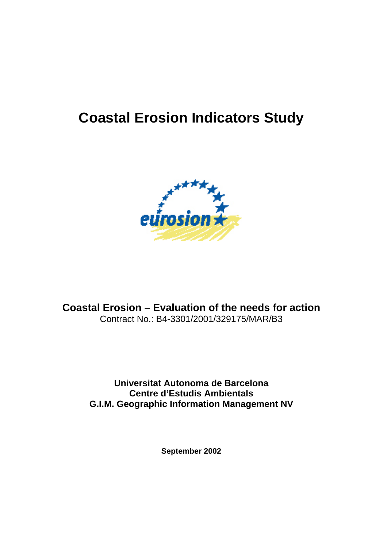# **Coastal Erosion Indicators Study**



**Coastal Erosion – Evaluation of the needs for action**  Contract No.: B4-3301/2001/329175/MAR/B3

> **Universitat Autonoma de Barcelona Centre d'Estudis Ambientals G.I.M. Geographic Information Management NV**

> > **September 2002**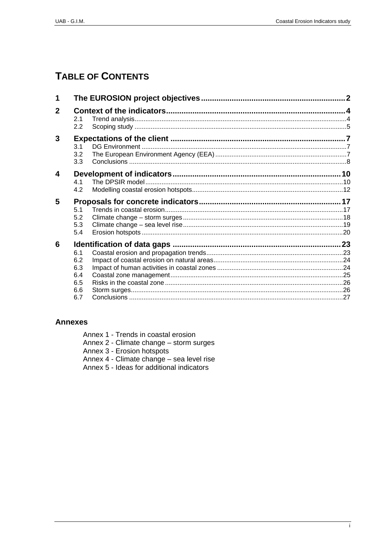# **TABLE OF CONTENTS**

| 1              |     |  |  |
|----------------|-----|--|--|
| $\overline{2}$ | 2.1 |  |  |
|                | 2.2 |  |  |
| 3              |     |  |  |
|                | 3.1 |  |  |
|                | 3.2 |  |  |
|                | 3.3 |  |  |
| 4              |     |  |  |
|                | 4.1 |  |  |
|                | 4.2 |  |  |
| 5              |     |  |  |
|                | 5.1 |  |  |
|                | 5.2 |  |  |
|                | 5.3 |  |  |
|                | 5.4 |  |  |
| 6              |     |  |  |
|                | 6.1 |  |  |
|                | 6.2 |  |  |
|                | 6.3 |  |  |
|                | 6.4 |  |  |
|                | 6.5 |  |  |
|                | 6.6 |  |  |
|                | 6.7 |  |  |
|                |     |  |  |

# **Annexes**

| Annex 1 - Trends in coastal erosion |
|-------------------------------------|
|-------------------------------------|

- Annex 2 Climate change storm surges<br>Annex 3 Erosion hotspots<br>Annex 4 Climate change sea level rise<br>Annex 5 Ideas for additional indicators
- 
- 
-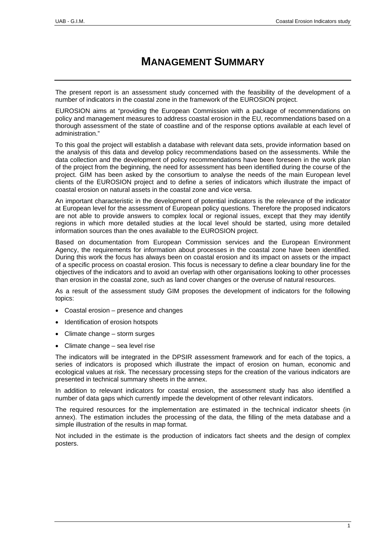# **MANAGEMENT SUMMARY**

The present report is an assessment study concerned with the feasibility of the development of a number of indicators in the coastal zone in the framework of the EUROSION project.

EUROSION aims at "providing the European Commission with a package of recommendations on policy and management measures to address coastal erosion in the EU, recommendations based on a thorough assessment of the state of coastline and of the response options available at each level of administration."

To this goal the project will establish a database with relevant data sets, provide information based on the analysis of this data and develop policy recommendations based on the assessments. While the data collection and the development of policy recommendations have been foreseen in the work plan of the project from the beginning, the need for assessment has been identified during the course of the project. GIM has been asked by the consortium to analyse the needs of the main European level clients of the EUROSION project and to define a series of indicators which illustrate the impact of coastal erosion on natural assets in the coastal zone and vice versa.

An important characteristic in the development of potential indicators is the relevance of the indicator at European level for the assessment of European policy questions. Therefore the proposed indicators are not able to provide answers to complex local or regional issues, except that they may identify regions in which more detailed studies at the local level should be started, using more detailed information sources than the ones available to the EUROSION project.

Based on documentation from European Commission services and the European Environment Agency, the requirements for information about processes in the coastal zone have been identified. During this work the focus has always been on coastal erosion and its impact on assets or the impact of a specific process on coastal erosion. This focus is necessary to define a clear boundary line for the objectives of the indicators and to avoid an overlap with other organisations looking to other processes than erosion in the coastal zone, such as land cover changes or the overuse of natural resources.

As a result of the assessment study GIM proposes the development of indicators for the following topics:

- Coastal erosion presence and changes
- Identification of erosion hotspots
- Climate change storm surges
- Climate change sea level rise

The indicators will be integrated in the DPSIR assessment framework and for each of the topics, a series of indicators is proposed which illustrate the impact of erosion on human, economic and ecological values at risk. The necessary processing steps for the creation of the various indicators are presented in technical summary sheets in the annex.

In addition to relevant indicators for coastal erosion, the assessment study has also identified a number of data gaps which currently impede the development of other relevant indicators.

The required resources for the implementation are estimated in the technical indicator sheets (in annex). The estimation includes the processing of the data, the filling of the meta database and a simple illustration of the results in map format.

Not included in the estimate is the production of indicators fact sheets and the design of complex posters.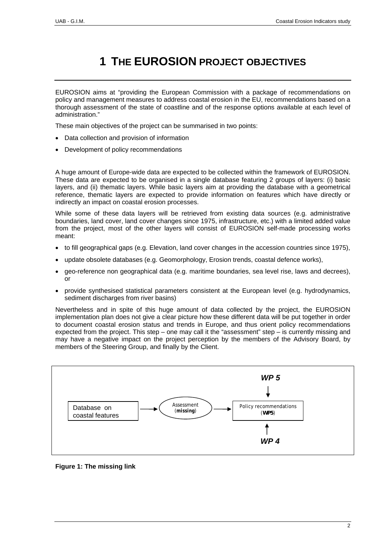# **1 THE EUROSION PROJECT OBJECTIVES**

<span id="page-3-0"></span>EUROSION aims at "providing the European Commission with a package of recommendations on policy and management measures to address coastal erosion in the EU, recommendations based on a thorough assessment of the state of coastline and of the response options available at each level of administration."

These main objectives of the project can be summarised in two points:

- Data collection and provision of information
- Development of policy recommendations

A huge amount of Europe-wide data are expected to be collected within the framework of EUROSION. These data are expected to be organised in a single database featuring 2 groups of layers: (i) basic layers, and (ii) thematic layers. While basic layers aim at providing the database with a geometrical reference, thematic layers are expected to provide information on features which have directly or indirectly an impact on coastal erosion processes.

While some of these data layers will be retrieved from existing data sources (e.g. administrative boundaries, land cover, land cover changes since 1975, infrastructure, etc.) with a limited added value from the project, most of the other layers will consist of EUROSION self-made processing works meant:

- to fill geographical gaps (e.g. Elevation, land cover changes in the accession countries since 1975),
- update obsolete databases (e.g. Geomorphology, Erosion trends, coastal defence works),
- geo-reference non geographical data (e.g. maritime boundaries, sea level rise, laws and decrees), or
- provide synthesised statistical parameters consistent at the European level (e.g. hydrodynamics, sediment discharges from river basins)

Nevertheless and in spite of this huge amount of data collected by the project, the EUROSION implementation plan does not give a clear picture how these different data will be put together in order to document coastal erosion status and trends in Europe, and thus orient policy recommendations expected from the project. This step – one may call it the "assessment" step – is currently missing and may have a negative impact on the project perception by the members of the Advisory Board, by members of the Steering Group, and finally by the Client.



**Figure 1: The missing link**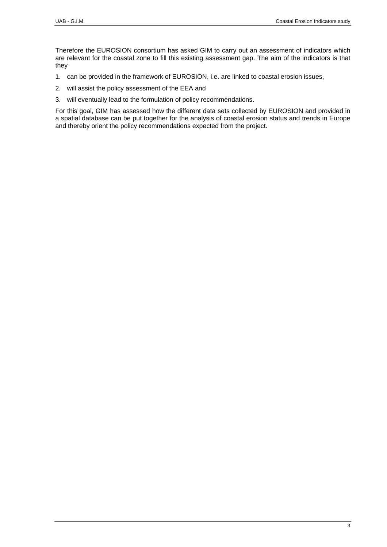Therefore the EUROSION consortium has asked GIM to carry out an assessment of indicators which are relevant for the coastal zone to fill this existing assessment gap. The aim of the indicators is that they

- 1. can be provided in the framework of EUROSION, i.e. are linked to coastal erosion issues,
- 2. will assist the policy assessment of the EEA and
- 3. will eventually lead to the formulation of policy recommendations.

For this goal, GIM has assessed how the different data sets collected by EUROSION and provided in a spatial database can be put together for the analysis of coastal erosion status and trends in Europe and thereby orient the policy recommendations expected from the project.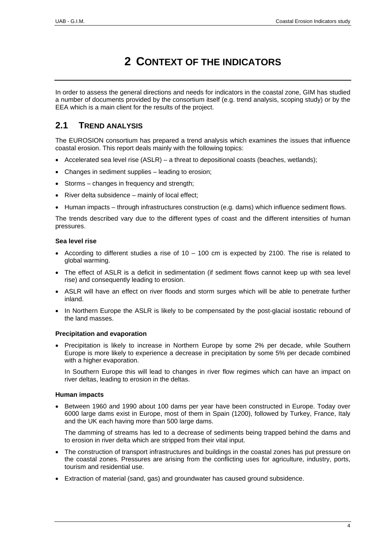# **2 CONTEXT OF THE INDICATORS**

<span id="page-5-0"></span>In order to assess the general directions and needs for indicators in the coastal zone, GIM has studied a number of documents provided by the consortium itself (e.g. trend analysis, scoping study) or by the EEA which is a main client for the results of the project.

# **2.1 TREND ANALYSIS**

The EUROSION consortium has prepared a trend analysis which examines the issues that influence coastal erosion. This report deals mainly with the following topics:

- Accelerated sea level rise (ASLR) a threat to depositional coasts (beaches, wetlands);
- Changes in sediment supplies leading to erosion;
- Storms changes in frequency and strength;
- River delta subsidence mainly of local effect;
- Human impacts through infrastructures construction (e.g. dams) which influence sediment flows.

The trends described vary due to the different types of coast and the different intensities of human pressures.

# **Sea level rise**

- According to different studies a rise of  $10 100$  cm is expected by 2100. The rise is related to global warming.
- The effect of ASLR is a deficit in sedimentation (if sediment flows cannot keep up with sea level rise) and consequently leading to erosion.
- ASLR will have an effect on river floods and storm surges which will be able to penetrate further inland.
- In Northern Europe the ASLR is likely to be compensated by the post-glacial isostatic rebound of the land masses.

# **Precipitation and evaporation**

• Precipitation is likely to increase in Northern Europe by some 2% per decade, while Southern Europe is more likely to experience a decrease in precipitation by some 5% per decade combined with a higher evaporation.

In Southern Europe this will lead to changes in river flow regimes which can have an impact on river deltas, leading to erosion in the deltas.

# **Human impacts**

• Between 1960 and 1990 about 100 dams per year have been constructed in Europe. Today over 6000 large dams exist in Europe, most of them in Spain (1200), followed by Turkey, France, Italy and the UK each having more than 500 large dams.

The damming of streams has led to a decrease of sediments being trapped behind the dams and to erosion in river delta which are stripped from their vital input.

- The construction of transport infrastructures and buildings in the coastal zones has put pressure on the coastal zones. Pressures are arising from the conflicting uses for agriculture, industry, ports, tourism and residential use.
- Extraction of material (sand, gas) and groundwater has caused ground subsidence.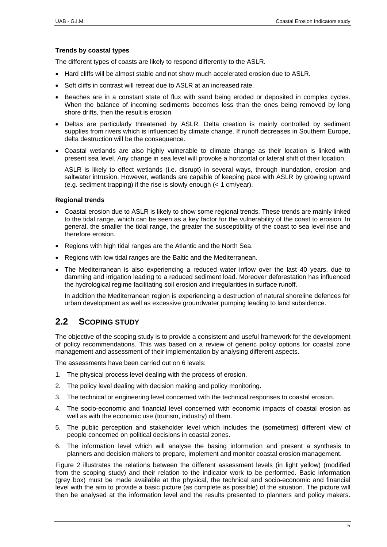# <span id="page-6-0"></span>**Trends by coastal types**

The different types of coasts are likely to respond differently to the ASLR.

- Hard cliffs will be almost stable and not show much accelerated erosion due to ASLR.
- Soft cliffs in contrast will retreat due to ASLR at an increased rate.
- Beaches are in a constant state of flux with sand being eroded or deposited in complex cycles. When the balance of incoming sediments becomes less than the ones being removed by long shore drifts, then the result is erosion.
- Deltas are particularly threatened by ASLR. Delta creation is mainly controlled by sediment supplies from rivers which is influenced by climate change. If runoff decreases in Southern Europe, delta destruction will be the consequence.
- Coastal wetlands are also highly vulnerable to climate change as their location is linked with present sea level. Any change in sea level will provoke a horizontal or lateral shift of their location.

ASLR is likely to effect wetlands (i.e. disrupt) in several ways, through inundation, erosion and saltwater intrusion. However, wetlands are capable of keeping pace with ASLR by growing upward (e.g. sediment trapping) if the rise is slowly enough (< 1 cm/year).

# **Regional trends**

- Coastal erosion due to ASLR is likely to show some regional trends. These trends are mainly linked to the tidal range, which can be seen as a key factor for the vulnerability of the coast to erosion. In general, the smaller the tidal range, the greater the susceptibility of the coast to sea level rise and therefore erosion.
- Regions with high tidal ranges are the Atlantic and the North Sea.
- Regions with low tidal ranges are the Baltic and the Mediterranean.
- The Mediterranean is also experiencing a reduced water inflow over the last 40 years, due to damming and irrigation leading to a reduced sediment load. Moreover deforestation has influenced the hydrological regime facilitating soil erosion and irregularities in surface runoff.

In addition the Mediterranean region is experiencing a destruction of natural shoreline defences for urban development as well as excessive groundwater pumping leading to land subsidence.

# **2.2 SCOPING STUDY**

The objective of the scoping study is to provide a consistent and useful framework for the development of policy recommendations. This was based on a review of generic policy options for coastal zone management and assessment of their implementation by analysing different aspects.

The assessments have been carried out on 6 levels:

- 1. The physical process level dealing with the process of erosion.
- 2. The policy level dealing with decision making and policy monitoring.
- 3. The technical or engineering level concerned with the technical responses to coastal erosion.
- 4. The socio-economic and financial level concerned with economic impacts of coastal erosion as well as with the economic use (tourism, industry) of them.
- 5. The public perception and stakeholder level which includes the (sometimes) different view of people concerned on political decisions in coastal zones.
- 6. The information level which will analyse the basing information and present a synthesis to planners and decision makers to prepare, implement and monitor coastal erosion management.

[Figure 2](#page-7-0) illustrates the relations between the different assessment levels (in light yellow) (modified from the scoping study) and their relation to the indicator work to be performed. Basic information (grey box) must be made available at the physical, the technical and socio-economic and financial level with the aim to provide a basic picture (as complete as possible) of the situation. The picture will then be analysed at the information level and the results presented to planners and policy makers.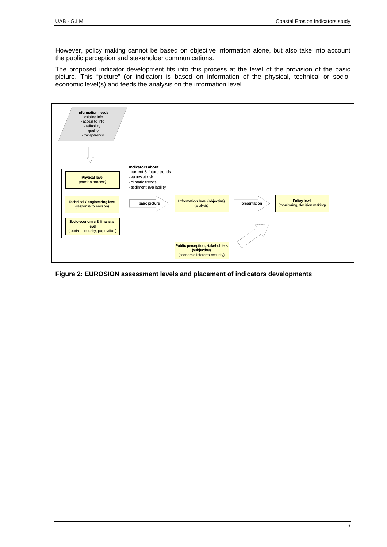However, policy making cannot be based on objective information alone, but also take into account the public perception and stakeholder communications.

The proposed indicator development fits into this process at the level of the provision of the basic picture. This "picture" (or indicator) is based on information of the physical, technical or socioeconomic level(s) and feeds the analysis on the information level.

<span id="page-7-0"></span>

**Figure 2: EUROSION assessment levels and placement of indicators developments**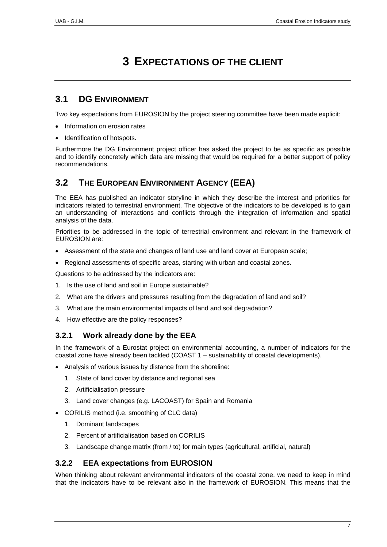# **3 EXPECTATIONS OF THE CLIENT**

# <span id="page-8-1"></span><span id="page-8-0"></span>**3.1 DG ENVIRONMENT**

Two key expectations from EUROSION by the project steering committee have been made explicit:

- Information on erosion rates
- Identification of hotspots.

Furthermore the DG Environment project officer has asked the project to be as specific as possible and to identify concretely which data are missing that would be required for a better support of policy recommendations.

# **3.2 THE EUROPEAN ENVIRONMENT AGENCY (EEA)**

The EEA has published an indicator storyline in which they describe the interest and priorities for indicators related to terrestrial environment. The objective of the indicators to be developed is to gain an understanding of interactions and conflicts through the integration of information and spatial analysis of the data.

Priorities to be addressed in the topic of terrestrial environment and relevant in the framework of EUROSION are:

- Assessment of the state and changes of land use and land cover at European scale;
- Regional assessments of specific areas, starting with urban and coastal zones.

Questions to be addressed by the indicators are:

- 1. Is the use of land and soil in Europe sustainable?
- 2. What are the drivers and pressures resulting from the degradation of land and soil?
- 3. What are the main environmental impacts of land and soil degradation?
- 4. How effective are the policy responses?

# **3.2.1 Work already done by the EEA**

In the framework of a Eurostat project on environmental accounting, a number of indicators for the coastal zone have already been tackled (COAST 1 – sustainability of coastal developments).

- Analysis of various issues by distance from the shoreline:
	- 1. State of land cover by distance and regional sea
	- 2. Artificialisation pressure
	- 3. Land cover changes (e.g. LACOAST) for Spain and Romania
- CORILIS method (i.e. smoothing of CLC data)
	- 1. Dominant landscapes
	- 2. Percent of artificialisation based on CORILIS
	- 3. Landscape change matrix (from / to) for main types (agricultural, artificial, natural)

# **3.2.2 EEA expectations from EUROSION**

When thinking about relevant environmental indicators of the coastal zone, we need to keep in mind that the indicators have to be relevant also in the framework of EUROSION. This means that the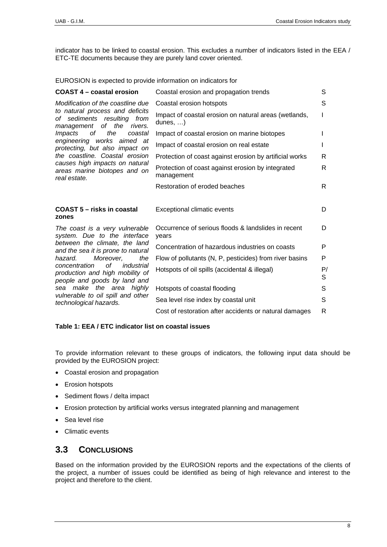<span id="page-9-0"></span>indicator has to be linked to coastal erosion. This excludes a number of indicators listed in the EEA / ETC-TE documents because they are purely land cover oriented.

EUROSION is expected to provide information on indicators for

| <b>COAST 4 - coastal erosion</b>                                                                        | Coastal erosion and propagation trends                                    | S       |
|---------------------------------------------------------------------------------------------------------|---------------------------------------------------------------------------|---------|
| Modification of the coastline due                                                                       | Coastal erosion hotspots                                                  | S       |
| to natural process and deficits<br>of sediments resulting<br>from<br>of<br>management<br>the<br>rivers. | Impact of coastal erosion on natural areas (wetlands,<br>dunes, $\dots$ ) |         |
| оf<br>the<br><i>Impacts</i><br>coastal                                                                  | Impact of coastal erosion on marine biotopes                              |         |
| engineering works aimed at<br>protecting, but also impact on                                            | Impact of coastal erosion on real estate                                  |         |
| the coastline. Coastal erosion                                                                          | Protection of coast against erosion by artificial works                   | R       |
| causes high impacts on natural<br>areas marine biotopes and on<br>real estate.                          | Protection of coast against erosion by integrated<br>management           | R       |
|                                                                                                         | Restoration of eroded beaches                                             | R.      |
|                                                                                                         |                                                                           |         |
|                                                                                                         |                                                                           |         |
| COAST 5 - risks in coastal<br>zones                                                                     | <b>Exceptional climatic events</b>                                        | D       |
| The coast is a very vulnerable<br>system. Due to the interface                                          | Occurrence of serious floods & landslides in recent<br>vears              | D       |
| between the climate, the land                                                                           | Concentration of hazardous industries on coasts                           | P       |
| and the sea it is prone to natural<br>Moreover.<br>hazard.<br>the                                       | Flow of pollutants (N, P, pesticides) from river basins                   | P       |
| of<br>concentration<br>industrial<br>production and high mobility of                                    | Hotspots of oil spills (accidental & illegal)                             | P/<br>S |
| people and goods by land and<br>sea make the area highly                                                | Hotspots of coastal flooding                                              | S       |
| vulnerable to oil spill and other<br>technological hazards.                                             | Sea level rise index by coastal unit                                      | S       |
|                                                                                                         | Cost of restoration after accidents or natural damages                    | R       |

# **Table 1: EEA / ETC indicator list on coastal issues**

To provide information relevant to these groups of indicators, the following input data should be provided by the EUROSION project:

- Coastal erosion and propagation
- Erosion hotspots
- Sediment flows / delta impact
- Erosion protection by artificial works versus integrated planning and management
- Sea level rise
- Climatic events

# <span id="page-9-1"></span>**3.3 CONCLUSIONS**

Based on the information provided by the EUROSION reports and the expectations of the clients of the project, a number of issues could be identified as being of high relevance and interest to the project and therefore to the client.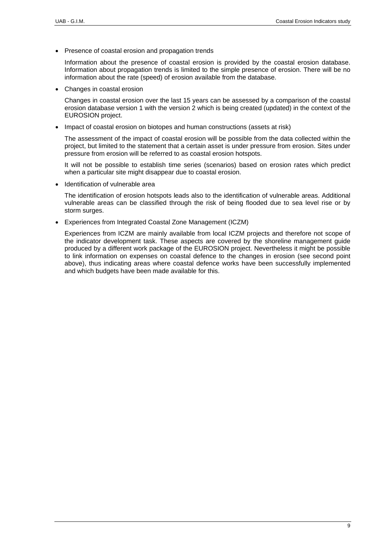• Presence of coastal erosion and propagation trends

Information about the presence of coastal erosion is provided by the coastal erosion database. Information about propagation trends is limited to the simple presence of erosion. There will be no information about the rate (speed) of erosion available from the database.

• Changes in coastal erosion

Changes in coastal erosion over the last 15 years can be assessed by a comparison of the coastal erosion database version 1 with the version 2 which is being created (updated) in the context of the EUROSION project.

• Impact of coastal erosion on biotopes and human constructions (assets at risk)

The assessment of the impact of coastal erosion will be possible from the data collected within the project, but limited to the statement that a certain asset is under pressure from erosion. Sites under pressure from erosion will be referred to as coastal erosion hotspots.

It will not be possible to establish time series (scenarios) based on erosion rates which predict when a particular site might disappear due to coastal erosion.

• Identification of vulnerable area

The identification of erosion hotspots leads also to the identification of vulnerable areas. Additional vulnerable areas can be classified through the risk of being flooded due to sea level rise or by storm surges.

• Experiences from Integrated Coastal Zone Management (ICZM)

Experiences from ICZM are mainly available from local ICZM projects and therefore not scope of the indicator development task. These aspects are covered by the shoreline management guide produced by a different work package of the EUROSION project. Nevertheless it might be possible to link information on expenses on coastal defence to the changes in erosion (see second point above), thus indicating areas where coastal defence works have been successfully implemented and which budgets have been made available for this.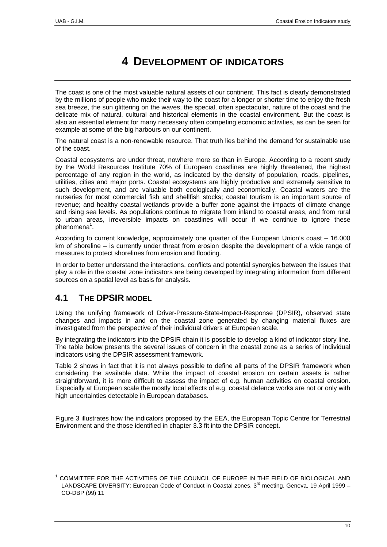# **4 DEVELOPMENT OF INDICATORS**

<span id="page-11-0"></span>The coast is one of the most valuable natural assets of our continent. This fact is clearly demonstrated by the millions of people who make their way to the coast for a longer or shorter time to enjoy the fresh sea breeze, the sun glittering on the waves, the special, often spectacular, nature of the coast and the delicate mix of natural, cultural and historical elements in the coastal environment. But the coast is also an essential element for many necessary often competing economic activities, as can be seen for example at some of the big harbours on our continent.

The natural coast is a non-renewable resource. That truth lies behind the demand for sustainable use of the coast.

Coastal ecosystems are under threat, nowhere more so than in Europe. According to a recent study by the World Resources Institute 70% of European coastlines are highly threatened, the highest percentage of any region in the world, as indicated by the density of population, roads, pipelines, utilities, cities and major ports. Coastal ecosystems are highly productive and extremely sensitive to such development, and are valuable both ecologically and economically. Coastal waters are the nurseries for most commercial fish and shellfish stocks; coastal tourism is an important source of revenue; and healthy coastal wetlands provide a buffer zone against the impacts of climate change and rising sea levels. As populations continue to migrate from inland to coastal areas, and from rural to urban areas, irreversible impacts on coastlines will occur if we continue to ignore these phenomena<sup>1</sup>.

According to current knowledge, approximately one quarter of the European Union's coast – 16.000 km of shoreline – is currently under threat from erosion despite the development of a wide range of measures to protect shorelines from erosion and flooding.

In order to better understand the interactions, conflicts and potential synergies between the issues that play a role in the coastal zone indicators are being developed by integrating information from different sources on a spatial level as basis for analysis.

# **4.1 THE DPSIR MODEL**

Using the unifying framework of Driver-Pressure-State-Impact-Response (DPSIR), observed state changes and impacts in and on the coastal zone generated by changing material fluxes are investigated from the perspective of their individual drivers at European scale.

By integrating the indicators into the DPSIR chain it is possible to develop a kind of indicator story line. The table below presents the several issues of concern in the coastal zone as a series of individual indicators using the DPSIR assessment framework.

[Table 2](#page-13-1) shows in fact that it is not always possible to define all parts of the DPSIR framework when considering the available data. While the impact of coastal erosion on certain assets is rather straightforward, it is more difficult to assess the impact of e.g. human activities on coastal erosion. Especially at European scale the mostly local effects of e.g. coastal defence works are not or only with high uncertainties detectable in European databases.

[Figure 3](#page-12-0) illustrates how the indicators proposed by the EEA, the European Topic Centre for Terrestrial Environment and the those identified in chapter [3.3](#page-9-1) fit into the DPSIR concept.

<span id="page-11-1"></span> $\frac{1}{1}$  COMMITTEE FOR THE ACTIVITIES OF THE COUNCIL OF EUROPE IN THE FIELD OF BIOLOGICAL AND LANDSCAPE DIVERSITY: European Code of Conduct in Coastal zones, 3<sup>rd</sup> meeting, Geneva, 19 April 1999 -CO-DBP (99) 11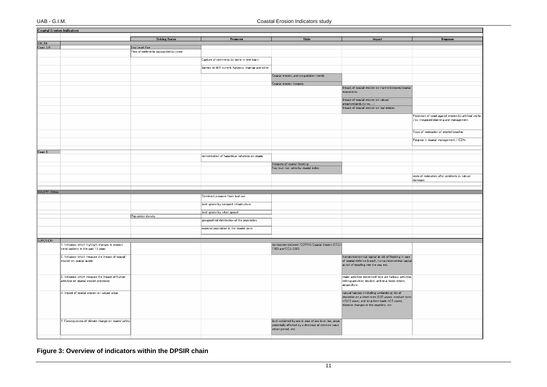|                 | <b>Coastal Erosion Indicators</b>                   |                                         |                                                        |                                                        |                                                                    |                                                         |  |
|-----------------|-----------------------------------------------------|-----------------------------------------|--------------------------------------------------------|--------------------------------------------------------|--------------------------------------------------------------------|---------------------------------------------------------|--|
|                 |                                                     |                                         |                                                        | <b>State</b>                                           |                                                                    |                                                         |  |
| ETC/TE          |                                                     | <b>Driving Forces</b>                   | Pressures                                              |                                                        | Impact                                                             | Response                                                |  |
| Coast $3/4$     |                                                     | Sea Level Rise                          |                                                        |                                                        |                                                                    |                                                         |  |
|                 |                                                     | Flow of sediments transported by rivers |                                                        |                                                        |                                                                    |                                                         |  |
|                 |                                                     |                                         |                                                        |                                                        |                                                                    |                                                         |  |
|                 |                                                     |                                         | Capture of sediments by dams in river basin            |                                                        |                                                                    |                                                         |  |
|                 |                                                     |                                         |                                                        |                                                        |                                                                    |                                                         |  |
|                 |                                                     |                                         | Barriers to drift current: harbours, marinas and other |                                                        |                                                                    |                                                         |  |
|                 |                                                     |                                         |                                                        | Coastal erosion, and progradation trends               |                                                                    |                                                         |  |
|                 |                                                     |                                         |                                                        |                                                        |                                                                    |                                                         |  |
|                 |                                                     |                                         |                                                        | Coastal erosion hotspots                               |                                                                    |                                                         |  |
|                 |                                                     |                                         |                                                        |                                                        | Impact of coastal erosion on marine biotopes/coastal<br>ecosystems |                                                         |  |
|                 |                                                     |                                         |                                                        |                                                        | Impact of coastal erosion on natural<br>areas(wetlands,dunes,)     |                                                         |  |
|                 |                                                     |                                         |                                                        |                                                        | Impact of coastal erosion on real estates                          |                                                         |  |
|                 |                                                     |                                         |                                                        |                                                        |                                                                    | Protection of coast against erosion by artificial works |  |
|                 |                                                     |                                         |                                                        |                                                        |                                                                    | / by integrated planning and management                 |  |
|                 |                                                     |                                         |                                                        |                                                        |                                                                    | Costs of restoration of eroded beaches                  |  |
|                 |                                                     |                                         |                                                        |                                                        |                                                                    |                                                         |  |
|                 |                                                     |                                         |                                                        |                                                        |                                                                    | Progress in coastal management / ICZM                   |  |
| Coast 5         |                                                     |                                         |                                                        |                                                        |                                                                    |                                                         |  |
|                 |                                                     |                                         | concentration of hazardous industries on coasts        |                                                        |                                                                    |                                                         |  |
|                 |                                                     |                                         |                                                        |                                                        |                                                                    |                                                         |  |
|                 |                                                     |                                         |                                                        | Hotspots of coastal flooding                           |                                                                    |                                                         |  |
|                 |                                                     |                                         |                                                        | Sea level rise index by coastal index                  |                                                                    |                                                         |  |
|                 |                                                     |                                         |                                                        |                                                        |                                                                    | costs of restoration after accidents or natural         |  |
|                 |                                                     |                                         |                                                        |                                                        |                                                                    | damages                                                 |  |
|                 |                                                     |                                         |                                                        |                                                        |                                                                    |                                                         |  |
| EEA/ETC: Other  |                                                     |                                         |                                                        |                                                        |                                                                    |                                                         |  |
|                 |                                                     |                                         | Dominant pressure from land use                        |                                                        |                                                                    |                                                         |  |
|                 |                                                     |                                         |                                                        |                                                        |                                                                    |                                                         |  |
|                 |                                                     |                                         | land uptake by transport infrastructure                |                                                        |                                                                    |                                                         |  |
|                 |                                                     |                                         | land uptake by urban sprawl                            |                                                        |                                                                    |                                                         |  |
|                 |                                                     | Population density                      |                                                        |                                                        |                                                                    |                                                         |  |
|                 |                                                     |                                         | geographical distribution of the population            |                                                        |                                                                    |                                                         |  |
|                 |                                                     |                                         | seasonal population in the coastal zone                |                                                        |                                                                    |                                                         |  |
|                 |                                                     |                                         |                                                        |                                                        |                                                                    |                                                         |  |
| <b>EUROSION</b> |                                                     |                                         |                                                        |                                                        |                                                                    |                                                         |  |
|                 | 1. Indicators which highlight changes in erosion    |                                         |                                                        | comparison between CORINE Coastal Erosion (CCEr)       |                                                                    |                                                         |  |
|                 | trend patterns in the past 15 years                 |                                         |                                                        | 1985 and CCEr 2000                                     |                                                                    |                                                         |  |
|                 | 2. Indicators which measure the impact of coastal   |                                         |                                                        |                                                        | human/economical capital at risk of flooding in case               |                                                         |  |
|                 | erosion on coastal assets                           |                                         |                                                        |                                                        | of coastal defence breach, human/economical capital                |                                                         |  |
|                 |                                                     |                                         |                                                        |                                                        | at risk of toppling into the sea, etc.                             |                                                         |  |
|                 |                                                     |                                         |                                                        |                                                        |                                                                    |                                                         |  |
|                 | 3. Indicators which measure the impact of human     |                                         |                                                        |                                                        | major activities concerned here are harbour activities,            |                                                         |  |
|                 | activities on coastal erosion processes             |                                         |                                                        |                                                        | mining activities, tourism, and to a lesser extent,                |                                                         |  |
|                 |                                                     |                                         |                                                        |                                                        | aquaculture                                                        |                                                         |  |
|                 | 4. Impact of coastal erosion on natural areas       |                                         |                                                        |                                                        | natural habitats (including wetlands) at risk of                   |                                                         |  |
|                 |                                                     |                                         |                                                        |                                                        | depletion on a short term (0-10 years), medium term                |                                                         |  |
|                 |                                                     |                                         |                                                        |                                                        | (10-25 years), and long term basis (>25 years),                    |                                                         |  |
|                 |                                                     |                                         |                                                        |                                                        | distance changes to the coastline, etc.                            |                                                         |  |
|                 |                                                     |                                         |                                                        |                                                        |                                                                    |                                                         |  |
|                 |                                                     |                                         |                                                        |                                                        |                                                                    |                                                         |  |
|                 | 5. Consequences of climate change on coastal safety |                                         |                                                        | land reclaimed by sea in case of sea level rise, areas |                                                                    |                                                         |  |
|                 |                                                     |                                         |                                                        | potentially affected by a decrease of extreme wave     |                                                                    |                                                         |  |
|                 |                                                     |                                         |                                                        | return period, etc.                                    |                                                                    |                                                         |  |
|                 |                                                     |                                         |                                                        |                                                        |                                                                    |                                                         |  |

<span id="page-12-0"></span>**Figure 3: Overview of indicators within the DPSIR chain**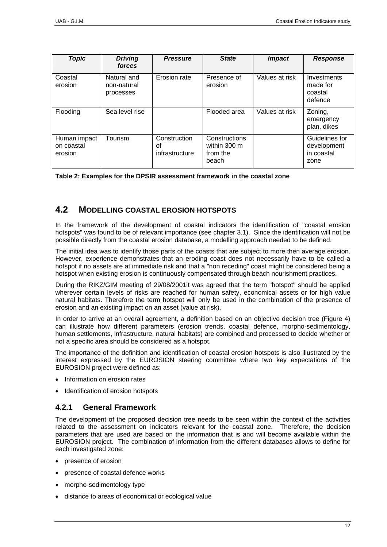<span id="page-13-0"></span>

| <b>Topic</b>                          | <b>Driving</b><br>forces                | <b>Pressure</b>                      | <b>State</b>                                       | <b>Impact</b>  | <b>Response</b>                                     |
|---------------------------------------|-----------------------------------------|--------------------------------------|----------------------------------------------------|----------------|-----------------------------------------------------|
| Coastal<br>erosion                    | Natural and<br>non-natural<br>processes | Erosion rate                         | Presence of<br>erosion                             | Values at risk | Investments<br>made for<br>coastal<br>defence       |
| Flooding                              | Sea level rise                          |                                      | Flooded area                                       | Values at risk | Zoning,<br>emergency<br>plan, dikes                 |
| Human impact<br>on coastal<br>erosion | Tourism                                 | Construction<br>Ωf<br>infrastructure | Constructions<br>within 300 m<br>from the<br>beach |                | Guidelines for<br>development<br>in coastal<br>zone |

<span id="page-13-1"></span>**Table 2: Examples for the DPSIR assessment framework in the coastal zone** 

# **4.2 MODELLING COASTAL EROSION HOTSPOTS**

In the framework of the development of coastal indicators the identification of "coastal erosion hotspots" was found to be of relevant importance (see chapter [3.1\)](#page-8-1). Since the identification will not be possible directly from the coastal erosion database, a modelling approach needed to be defined.

The initial idea was to identify those parts of the coasts that are subject to more then average erosion. However, experience demonstrates that an eroding coast does not necessarily have to be called a hotspot if no assets are at immediate risk and that a "non receding" coast might be considered being a hotspot when existing erosion is continuously compensated through beach nourishment practices.

During the RIKZ/GIM meeting of 29/08/2001it was agreed that the term "hotspot" should be applied wherever certain levels of risks are reached for human safety, economical assets or for high value natural habitats. Therefore the term hotspot will only be used in the combination of the presence of erosion and an existing impact on an asset (value at risk).

In order to arrive at an overall agreement, a definition based on an objective decision tree [\(Figure 4\)](#page-17-0) can illustrate how different parameters (erosion trends, coastal defence, morpho-sedimentology, human settlements, infrastructure, natural habitats) are combined and processed to decide whether or not a specific area should be considered as a hotspot.

The importance of the definition and identification of coastal erosion hotspots is also illustrated by the interest expressed by the EUROSION steering committee where two key expectations of the EUROSION project were defined as:

- Information on erosion rates
- Identification of erosion hotspots

# **4.2.1 General Framework**

The development of the proposed decision tree needs to be seen within the context of the activities related to the assessment on indicators relevant for the coastal zone. Therefore, the decision parameters that are used are based on the information that is and will become available within the EUROSION project. The combination of information from the different databases allows to define for each investigated zone:

- presence of erosion
- presence of coastal defence works
- morpho-sedimentology type
- distance to areas of economical or ecological value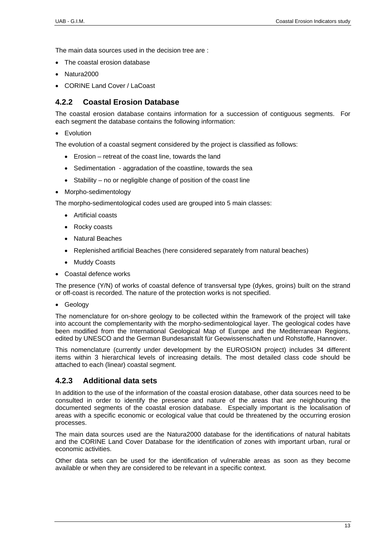The main data sources used in the decision tree are :

- The coastal erosion database
- Natura2000
- CORINE Land Cover / LaCoast

# **4.2.2 Coastal Erosion Database**

The coastal erosion database contains information for a succession of contiguous segments. For each segment the database contains the following information:

• Evolution

The evolution of a coastal segment considered by the project is classified as follows:

- Erosion retreat of the coast line, towards the land
- Sedimentation aggradation of the coastline, towards the sea
- Stability no or negligible change of position of the coast line
- Morpho-sedimentology

The morpho-sedimentological codes used are grouped into 5 main classes:

- Artificial coasts
- Rocky coasts
- Natural Beaches
- Replenished artificial Beaches (here considered separately from natural beaches)
- Muddy Coasts
- Coastal defence works

The presence (Y/N) of works of coastal defence of transversal type (dykes, groins) built on the strand or off-coast is recorded. The nature of the protection works is not specified.

• Geology

The nomenclature for on-shore geology to be collected within the framework of the project will take into account the complementarity with the morpho-sedimentological layer. The geological codes have been modified from the International Geological Map of Europe and the Mediterranean Regions, edited by UNESCO and the German Bundesanstalt für Geowissenschaften und Rohstoffe, Hannover.

This nomenclature (currently under development by the EUROSION project) includes 34 different items within 3 hierarchical levels of increasing details. The most detailed class code should be attached to each (linear) coastal segment.

# **4.2.3 Additional data sets**

In addition to the use of the information of the coastal erosion database, other data sources need to be consulted in order to identify the presence and nature of the areas that are neighbouring the documented segments of the coastal erosion database. Especially important is the localisation of areas with a specific economic or ecological value that could be threatened by the occurring erosion processes.

The main data sources used are the Natura2000 database for the identifications of natural habitats and the CORINE Land Cover Database for the identification of zones with important urban, rural or economic activities.

Other data sets can be used for the identification of vulnerable areas as soon as they become available or when they are considered to be relevant in a specific context.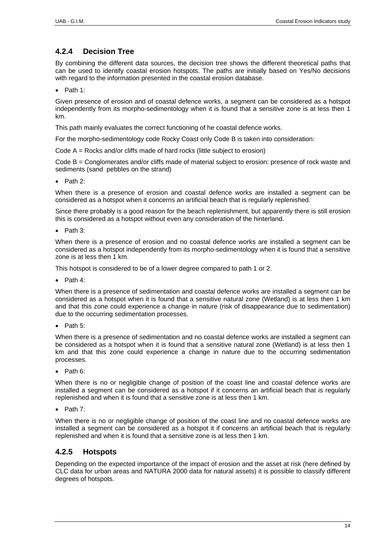# **4.2.4 Decision Tree**

By combining the different data sources, the decision tree shows the different theoretical paths that can be used to identify coastal erosion hotspots. The paths are initially based on Yes/No decisions with regard to the information presented in the coastal erosion database.

• Path 1:

Given presence of erosion and of coastal defence works, a segment can be considered as a hotspot independently from its morpho-sedimentology when it is found that a sensitive zone is at less then 1 km.

This path mainly evaluates the correct functioning of he coastal defence works.

For the morpho-sedimentology code Rocky Coast only Code B is taken into consideration:

Code A = Rocks and/or cliffs made of hard rocks (little subject to erosion)

Code B = Conglomerates and/or cliffs made of material subject to erosion: presence of rock waste and sediments (sand pebbles on the strand)

• Path 2:

When there is a presence of erosion and coastal defence works are installed a segment can be considered as a hotspot when it concerns an artificial beach that is regularly replenished.

Since there probably is a good reason for the beach replenishment, but apparently there is still erosion this is considered as a hotspot without even any consideration of the hinterland.

• Path 3:

When there is a presence of erosion and no coastal defence works are installed a segment can be considered as a hotspot independently from its morpho-sedimentology when it is found that a sensitive zone is at less then 1 km.

This hotspot is considered to be of a lower degree compared to path 1 or 2.

• Path 4:

When there is a presence of sedimentation and coastal defence works are installed a segment can be considered as a hotspot when it is found that a sensitive natural zone (Wetland) is at less then 1 km and that this zone could experience a change in nature (risk of disappearance due to sedimentation) due to the occurring sedimentation processes.

• Path 5:

When there is a presence of sedimentation and no coastal defence works are installed a segment can be considered as a hotspot when it is found that a sensitive natural zone (Wetland) is at less then 1 km and that this zone could experience a change in nature due to the occurring sedimentation processes.

• Path 6:

When there is no or negligible change of position of the coast line and coastal defence works are installed a segment can be considered as a hotspot if it concerns an artificial beach that is regularly replenished and when it is found that a sensitive zone is at less then 1 km.

• Path 7:

When there is no or negligible change of position of the coast line and no coastal defence works are installed a segment can be considered as a hotspot it if concerns an artificial beach that is regularly replenished and when it is found that a sensitive zone is at less then 1 km.

# **4.2.5 Hotspots**

Depending on the expected importance of the impact of erosion and the asset at risk (here defined by CLC data for urban areas and NATURA 2000 data for natural assets) it is possible to classify different degrees of hotspots.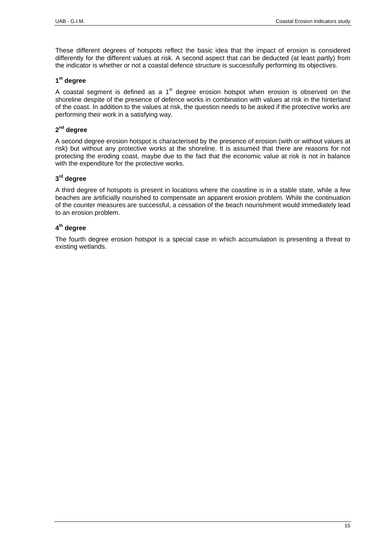These different degrees of hotspots reflect the basic idea that the impact of erosion is considered differently for the different values at risk. A second aspect that can be deducted (at least partly) from the indicator is whether or not a coastal defence structure is successfully performing its objectives.

### **1st degree**

A coastal segment is defined as a  $1<sup>st</sup>$  degree erosion hotspot when erosion is observed on the shoreline despite of the presence of defence works in combination with values at risk in the hinterland of the coast. In addition to the values at risk, the question needs to be asked if the protective works are performing their work in a satisfying way.

# **2nd degree**

A second degree erosion hotspot is characterised by the presence of erosion (with or without values at risk) but without any protective works at the shoreline. It is assumed that there are reasons for not protecting the eroding coast, maybe due to the fact that the economic value at risk is not in balance with the expenditure for the protective works.

# **3rd degree**

A third degree of hotspots is present in locations where the coastline is in a stable state, while a few beaches are artificially nourished to compensate an apparent erosion problem. While the continuation of the counter measures are successful, a cessation of the beach nourishment would immediately lead to an erosion problem.

# **4th degree**

The fourth degree erosion hotspot is a special case in which accumulation is presenting a threat to existing wetlands.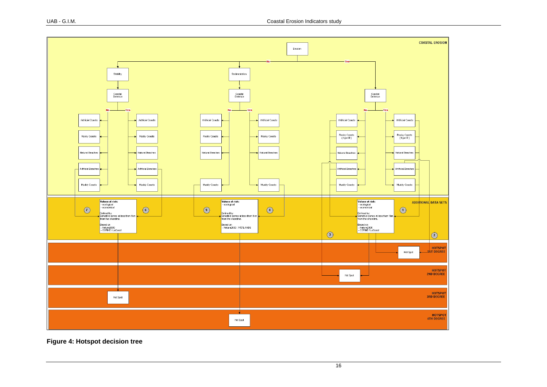

<span id="page-17-0"></span>**Figure 4: Hotspot decision tree**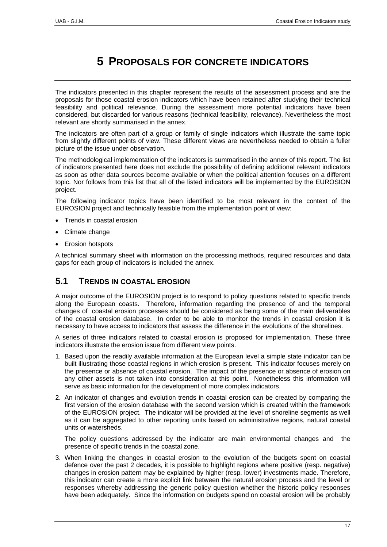# **5 PROPOSALS FOR CONCRETE INDICATORS**

<span id="page-18-0"></span>The indicators presented in this chapter represent the results of the assessment process and are the proposals for those coastal erosion indicators which have been retained after studying their technical feasibility and political relevance. During the assessment more potential indicators have been considered, but discarded for various reasons (technical feasibility, relevance). Nevertheless the most relevant are shortly summarised in the annex.

The indicators are often part of a group or family of single indicators which illustrate the same topic from slightly different points of view. These different views are nevertheless needed to obtain a fuller picture of the issue under observation.

The methodological implementation of the indicators is summarised in the annex of this report. The list of indicators presented here does not exclude the possibility of defining additional relevant indicators as soon as other data sources become available or when the political attention focuses on a different topic. Nor follows from this list that all of the listed indicators will be implemented by the EUROSION project.

The following indicator topics have been identified to be most relevant in the context of the EUROSION project and technically feasible from the implementation point of view:

- Trends in coastal erosion
- Climate change
- **Erosion hotspots**

A technical summary sheet with information on the processing methods, required resources and data gaps for each group of indicators is included the annex.

# **5.1 TRENDS IN COASTAL EROSION**

A major outcome of the EUROSION project is to respond to policy questions related to specific trends along the European coasts. Therefore, information regarding the presence of and the temporal changes of coastal erosion processes should be considered as being some of the main deliverables of the coastal erosion database. In order to be able to monitor the trends in coastal erosion it is necessary to have access to indicators that assess the difference in the evolutions of the shorelines.

A series of three indicators related to coastal erosion is proposed for implementation. These three indicators illustrate the erosion issue from different view points.

- 1. Based upon the readily available information at the European level a simple state indicator can be built illustrating those coastal regions in which erosion is present. This indicator focuses merely on the presence or absence of coastal erosion. The impact of the presence or absence of erosion on any other assets is not taken into consideration at this point. Nonetheless this information will serve as basic information for the development of more complex indicators.
- 2. An indicator of changes and evolution trends in coastal erosion can be created by comparing the first version of the erosion database with the second version which is created within the framework of the EUROSION project. The indicator will be provided at the level of shoreline segments as well as it can be aggregated to other reporting units based on administrative regions, natural coastal units or watersheds.

The policy questions addressed by the indicator are main environmental changes and the presence of specific trends in the coastal zone.

3. When linking the changes in coastal erosion to the evolution of the budgets spent on coastal defence over the past 2 decades, it is possible to highlight regions where positive (resp. negative) changes in erosion pattern may be explained by higher (resp. lower) investments made. Therefore, this indicator can create a more explicit link between the natural erosion process and the level or responses whereby addressing the generic policy question whether the historic policy responses have been adequately. Since the information on budgets spend on coastal erosion will be probably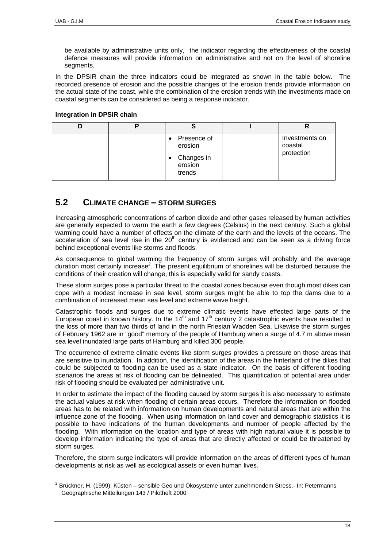<span id="page-19-0"></span>be available by administrative units only, the indicator regarding the effectiveness of the coastal defence measures will provide information on administrative and not on the level of shoreline segments.

In the DPSIR chain the three indicators could be integrated as shown in the table below. The recorded presence of erosion and the possible changes of the erosion trends provide information on the actual state of the coast, while the combination of the erosion trends with the investments made on coastal segments can be considered as being a response indicator.

#### **Integration in DPSIR chain**

|  |                                                                  | n                                       |
|--|------------------------------------------------------------------|-----------------------------------------|
|  | Presence of<br>٠<br>erosion<br>• Changes in<br>erosion<br>trends | Investments on<br>coastal<br>protection |

# **5.2 CLIMATE CHANGE – STORM SURGES**

Increasing atmospheric concentrations of carbon dioxide and other gases released by human activities are generally expected to warm the earth a few degrees (Celsius) in the next century. Such a global warming could have a number of effects on the climate of the earth and the levels of the oceans. The acceleration of sea level rise in the  $20<sup>th</sup>$  century is evidenced and can be seen as a driving force behind exceptional events like storms and floods.

As consequence to global warming the frequency of storm surges will probably and the average duration most certainly increase<sup>2</sup>. The present equilibrium of shorelines will be disturbed because the conditions of their creation will change, this is especially valid for sandy coasts.

These storm surges pose a particular threat to the coastal zones because even though most dikes can cope with a modest increase in sea level, storm surges might be able to top the dams due to a combination of increased mean sea level and extreme wave height.

Catastrophic floods and surges due to extreme climatic events have effected large parts of the European coast in known history. In the  $14<sup>th</sup>$  and  $17<sup>th</sup>$  century 2 catastrophic events have resulted in the loss of more than two thirds of land in the north Friesian Wadden Sea. Likewise the storm surges of February 1962 are in "good" memory of the people of Hamburg when a surge of 4.7 m above mean sea level inundated large parts of Hamburg and killed 300 people.

The occurrence of extreme climatic events like storm surges provides a pressure on those areas that are sensitive to inundation. In addition, the identification of the areas in the hinterland of the dikes that could be subjected to flooding can be used as a state indicator. On the basis of different flooding scenarios the areas at risk of flooding can be delineated. This quantification of potential area under risk of flooding should be evaluated per administrative unit.

In order to estimate the impact of the flooding caused by storm surges it is also necessary to estimate the actual values at risk when flooding of certain areas occurs. Therefore the information on flooded areas has to be related with information on human developments and natural areas that are within the influence zone of the flooding. When using information on land cover and demographic statistics it is possible to have indications of the human developments and number of people affected by the flooding. With information on the location and type of areas with high natural value it is possible to develop information indicating the type of areas that are directly affected or could be threatened by storm surges.

Therefore, the storm surge indicators will provide information on the areas of different types of human developments at risk as well as ecological assets or even human lives.

<span id="page-19-1"></span> <sup>2</sup> Brückner, H. (1999): Küsten – sensible Geo und Ökosysteme unter zunehmendem Stress.- In: Petermanns Geographische Mitteilungen 143 / Pilotheft 2000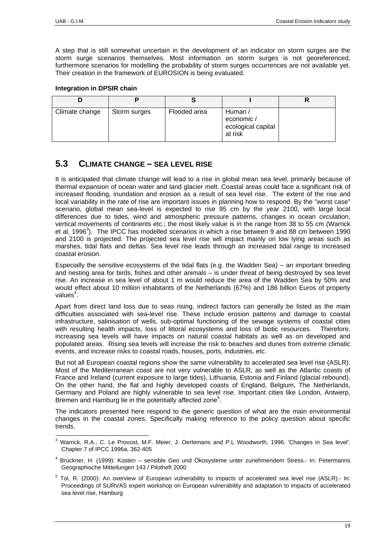<span id="page-20-0"></span>A step that is still somewhat uncertain in the development of an indicator on storm surges are the storm surge scenarios themselves. Most information on storm surges is not georeferenced, furthermore scenarios for modelling the probability of storm surges occurrences are not available yet. Their creation in the framework of EUROSION is being evaluated.

# **Integration in DPSIR chain**

| Climate change | Storm surges | Flooded area | Human /<br>economic /<br>ecological capital<br>at risk |  |
|----------------|--------------|--------------|--------------------------------------------------------|--|

# **5.3 CLIMATE CHANGE – SEA LEVEL RISE**

It is anticipated that climate change will lead to a rise in global mean sea level, primarily because of thermal expansion of ocean water and land glacier melt. Coastal areas could face a significant risk of increased flooding, inundation and erosion as a result of sea level rise. The extent of the rise and local variability in the rate of rise are important issues in planning how to respond. By the "worst case" scenario, global mean sea-level is expected to rise 95 cm by the year 2100, with large local differences due to tides, wind and atmospheric pressure patterns, changes in ocean circulation, vertical movements of continents etc.; the most likely value is in the range from 38 to 55 cm (Warrick et al, 1996<sup>[3](#page-20-1)</sup>). The IPCC has modelled scenarios in which a rise between 9 and 88 cm between 1990 and 2100 is projected. The projected sea level rise will impact mainly on low lying areas such as marshes, tidal flats and deltas. Sea level rise leads through an increased tidal range to increased coastal erosion.

Especially the sensitive ecosystems of the tidal flats (e.g. the Wadden Sea) – an important breeding and nesting area for birds, fishes and other animals – is under threat of being destroyed by sea level rise. An increase in sea level of about 1 m would reduce the area of the Wadden Sea by 50% and would effect about 10 million inhabitants of the Netherlands (67%) and 186 billion Euros of property values<sup>4</sup>.

Apart from direct land loss due to seas rising, indirect factors can generally be listed as the main difficulties associated with sea-level rise. These include erosion patterns and damage to coastal infrastructure, salinisation of wells, sub-optimal functioning of the sewage systems of coastal cities with resulting health impacts, loss of littoral ecosystems and loss of biotic resources. Therefore, increasing sea levels will have impacts on natural coastal habitats as well as on developed and populated areas. Rising sea levels will increase the risk to beaches and dunes from extreme climatic events, and increase risks to coastal roads, houses, ports, industries, etc.

But not all European coastal regions show the same vulnerability to accelerated sea level rise (ASLR). Most of the Mediterranean coast are not very vulnerable to ASLR, as well as the Atlantic coasts of France and Ireland (current exposure to large tides), Lithuania, Estonia and Finland (glacial rebound). On the other hand, the flat and highly developed coasts of England, Belgium, The Netherlands, Germany and Poland are highly vulnerable to sea level rise. Important cities like London, Antwerp, Bremen and Hamburg lie in the potentially affected zone<sup>[5](#page-20-3)</sup>.

The indicators presented here respond to the generic question of what are the main environmental changes in the coastal zones. Specifically making reference to the policy question about specific trends.

<span id="page-20-1"></span> <sup>3</sup> Warrick, R.A., C. Le Provost, M.F. Meier, J. Oerlemans and P.L Woodworth, 1996. 'Changes in Sea level'. Chapter 7 of IPCC 1996a, 362-405

<span id="page-20-2"></span><sup>4</sup> Brückner, H. (1999): Küsten – sensible Geo und Ökosysteme unter zunehmendem Stress.- In: Petermanns Geographische Mitteilungen 143 / Pilotheft 2000

<span id="page-20-3"></span> $5$  Tol, R. (2000): An overview of European vulnerability to impacts of accelerated sea level rise (ASLR).- In: Proceedings of SURVAS expert workshop on European vulnerability and adaptation to impacts of accelerated sea level rise, Hamburg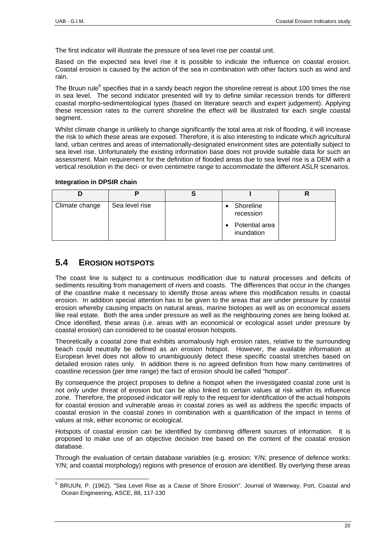<span id="page-21-0"></span>The first indicator will illustrate the pressure of sea level rise per coastal unit.

Based on the expected sea level rise it is possible to indicate the influence on coastal erosion. Coastal erosion is caused by the action of the sea in combination with other factors such as wind and rain.

The Bruun rule<sup>[6](#page-21-1)</sup> specifies that in a sandy beach region the shoreline retreat is about 100 times the rise in sea level. The second indicator presented will try to define similar recession trends for different coastal morpho-sedimentological types (based on literature search and expert judgement). Applying these recession rates to the current shoreline the effect will be illustrated for each single coastal segment.

Whilst climate change is unlikely to change significantly the total area at risk of flooding, it will increase the risk to which these areas are exposed. Therefore, it is also interesting to indicate which agricultural land, urban centres and areas of internationally-designated environment sites are potentially subject to sea level rise. Unfortunately the existing information base does not provide suitable data for such an assessment. Main requirement for the definition of flooded areas due to sea level rise is a DEM with a vertical resolution in the deci- or even centimetre range to accommodate the different ASLR scenarios.

#### **Integration in DPSIR chain**

| Climate change | Sea level rise | Shoreline<br>recession       |  |
|----------------|----------------|------------------------------|--|
|                |                | Potential area<br>inundation |  |

# **5.4 EROSION HOTSPOTS**

The coast line is subject to a continuous modification due to natural processes and deficits of sediments resulting from management of rivers and coasts. The differences that occur in the changes of the coastline make it necessary to identify those areas where this modification results in coastal erosion. In addition special attention has to be given to the areas that are under pressure by coastal erosion whereby causing impacts on natural areas, marine biotopes as well as on economical assets like real estate. Both the area under pressure as well as the neighbouring zones are being looked at. Once identified, these areas (i.e. areas with an economical or ecological asset under pressure by coastal erosion) can considered to be coastal erosion hotspots.

Theoretically a coastal zone that exhibits anomalously high erosion rates, relative to the surrounding beach could neutrally be defined as an erosion hotspot. However, the available information at European level does not allow to unambiguously detect these specific coastal stretches based on detailed erosion rates only. In addition there is no agreed definition from how many centimetres of coastline recession (per time range) the fact of erosion should be called "hotspot".

By consequence the project proposes to define a hotspot when the investigated coastal zone unit is not only under threat of erosion but can be also linked to certain values at risk within its influence zone. Therefore, the proposed indicator will reply to the request for identification of the actual hotspots for coastal erosion and vulnerable areas in coastal zones as well as address the specific impacts of coastal erosion in the coastal zones in combination with a quantification of the impact in terms of values at risk, either economic or ecological.

Hotspots of coastal erosion can be identified by combining different sources of information. It is proposed to make use of an objective decision tree based on the content of the coastal erosion database.

Through the evaluation of certain database variables (e.g. erosion: Y/N; presence of defence works: Y/N; and coastal morphology) regions with presence of erosion are identified. By overlying these areas

<span id="page-21-1"></span> <sup>6</sup> BRUUN, P. (1962). "Sea Level Rise as a Cause of Shore Erosion". Journal of Waterway, Port, Coastal and Ocean Engineering, ASCE, 88, 117-130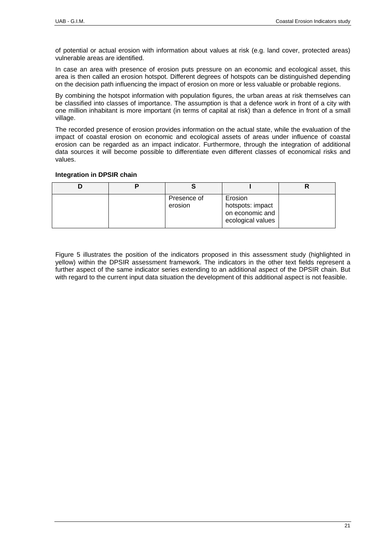of potential or actual erosion with information about values at risk (e.g. land cover, protected areas) vulnerable areas are identified.

In case an area with presence of erosion puts pressure on an economic and ecological asset, this area is then called an erosion hotspot. Different degrees of hotspots can be distinguished depending on the decision path influencing the impact of erosion on more or less valuable or probable regions.

By combining the hotspot information with population figures, the urban areas at risk themselves can be classified into classes of importance. The assumption is that a defence work in front of a city with one million inhabitant is more important (in terms of capital at risk) than a defence in front of a small village.

The recorded presence of erosion provides information on the actual state, while the evaluation of the impact of coastal erosion on economic and ecological assets of areas under influence of coastal erosion can be regarded as an impact indicator. Furthermore, through the integration of additional data sources it will become possible to differentiate even different classes of economical risks and values.

#### **Integration in DPSIR chain**

|  | Presence of<br>erosion | Erosion<br>hotspots: impact<br>on economic and<br>ecological values |  |
|--|------------------------|---------------------------------------------------------------------|--|

[Figure 5](#page-23-0) illustrates the position of the indicators proposed in this assessment study (highlighted in yellow) within the DPSIR assessment framework. The indicators in the other text fields represent a further aspect of the same indicator series extending to an additional aspect of the DPSIR chain. But with regard to the current input data situation the development of this additional aspect is not feasible.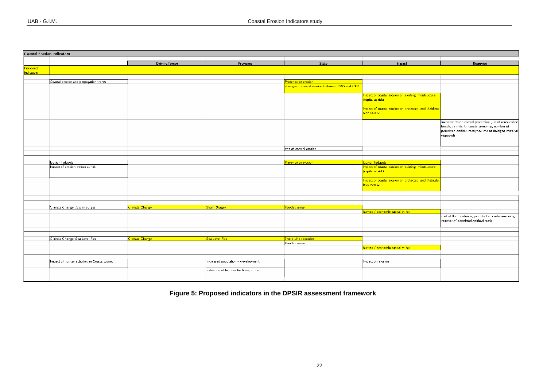|            | <b>Coastal Erosion Indicators</b>           |                       |                                          |                                                  |                                                                           |                                                                                                                                                                               |  |  |
|------------|---------------------------------------------|-----------------------|------------------------------------------|--------------------------------------------------|---------------------------------------------------------------------------|-------------------------------------------------------------------------------------------------------------------------------------------------------------------------------|--|--|
|            |                                             |                       |                                          |                                                  |                                                                           |                                                                                                                                                                               |  |  |
|            |                                             | <b>Driving Forces</b> | Pressures                                | <b>State</b>                                     | Impact                                                                    | Response                                                                                                                                                                      |  |  |
| Proposed   |                                             |                       |                                          |                                                  |                                                                           |                                                                                                                                                                               |  |  |
| Indicators |                                             |                       |                                          |                                                  |                                                                           |                                                                                                                                                                               |  |  |
|            |                                             |                       |                                          |                                                  |                                                                           |                                                                                                                                                                               |  |  |
|            | Coastal erosion and propagation trends      |                       |                                          | <b>Presence or erosion</b>                       |                                                                           |                                                                                                                                                                               |  |  |
|            |                                             |                       |                                          | changes in coastal erosion between 1985 and 2002 |                                                                           |                                                                                                                                                                               |  |  |
|            |                                             |                       |                                          |                                                  | Impact of coastal erosion on existing infrastructure<br>(capital at risk) |                                                                                                                                                                               |  |  |
|            |                                             |                       |                                          |                                                  | Impact of coastal erosion on protected land (habitats,<br>biodiversity)   |                                                                                                                                                                               |  |  |
|            |                                             |                       |                                          |                                                  |                                                                           | Investments on coastal protection (km of renourished<br>beach; permits for coastal armoring, number of<br>permitted artificial reefs; volume of dredged material<br>disposed) |  |  |
|            |                                             |                       |                                          | rate of coastal erosion                          |                                                                           |                                                                                                                                                                               |  |  |
|            |                                             |                       |                                          |                                                  |                                                                           |                                                                                                                                                                               |  |  |
|            |                                             |                       |                                          |                                                  |                                                                           |                                                                                                                                                                               |  |  |
|            | Erosion hotspots                            |                       |                                          | Presence or erosion                              | <b>Erosion hotspots</b>                                                   |                                                                                                                                                                               |  |  |
|            | Impact of erosion: values at risk           |                       |                                          |                                                  | Impact of coastal erosion on existing infrastructure<br>(capital at risk) |                                                                                                                                                                               |  |  |
|            |                                             |                       |                                          |                                                  | Impact of coastal erosion on protected land (habitats,<br>biodiversity)   |                                                                                                                                                                               |  |  |
|            |                                             |                       |                                          |                                                  |                                                                           |                                                                                                                                                                               |  |  |
|            |                                             |                       |                                          |                                                  |                                                                           |                                                                                                                                                                               |  |  |
|            |                                             |                       |                                          |                                                  |                                                                           |                                                                                                                                                                               |  |  |
|            | Climate Change : Storm surges               | Climate Change        | Storm Surges                             | <b>Flooded areas</b>                             |                                                                           |                                                                                                                                                                               |  |  |
|            |                                             |                       |                                          |                                                  | human / economic capital at risk                                          |                                                                                                                                                                               |  |  |
|            |                                             |                       |                                          |                                                  |                                                                           | cost of flood defence; permits for coastal armoring,<br>number of permitted artificial reefs                                                                                  |  |  |
|            |                                             |                       |                                          |                                                  |                                                                           |                                                                                                                                                                               |  |  |
|            |                                             |                       |                                          |                                                  |                                                                           |                                                                                                                                                                               |  |  |
|            | Climate Change: Sea Level Rise              | Climate Change        | Sea Level Rise                           | Shore Line recession                             |                                                                           |                                                                                                                                                                               |  |  |
|            |                                             |                       |                                          | Flooded areas                                    |                                                                           |                                                                                                                                                                               |  |  |
|            |                                             |                       |                                          |                                                  | human / economic capital at risk                                          |                                                                                                                                                                               |  |  |
|            |                                             |                       |                                          |                                                  |                                                                           |                                                                                                                                                                               |  |  |
|            | Impact of human activities in Coastal Zones |                       | increased population + development       |                                                  | Impact on erosion                                                         |                                                                                                                                                                               |  |  |
|            |                                             |                       | extention of harbour facilities; tourism |                                                  |                                                                           |                                                                                                                                                                               |  |  |
|            |                                             |                       |                                          |                                                  |                                                                           |                                                                                                                                                                               |  |  |

<span id="page-23-0"></span>**Figure 5: Proposed indicators in the DPSIR assessment framework**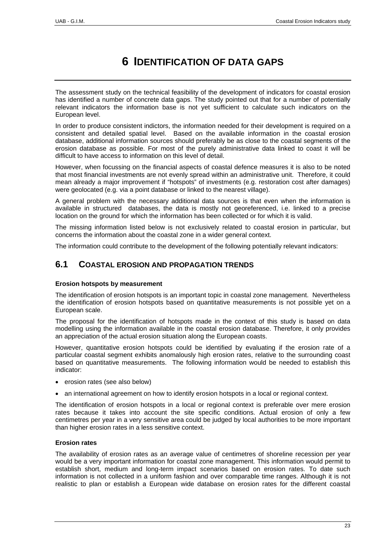# **6 IDENTIFICATION OF DATA GAPS**

<span id="page-24-0"></span>The assessment study on the technical feasibility of the development of indicators for coastal erosion has identified a number of concrete data gaps. The study pointed out that for a number of potentially relevant indicators the information base is not yet sufficient to calculate such indicators on the European level.

In order to produce consistent indictors, the information needed for their development is required on a consistent and detailed spatial level. Based on the available information in the coastal erosion database, additional information sources should preferably be as close to the coastal segments of the erosion database as possible. For most of the purely administrative data linked to coast it will be difficult to have access to information on this level of detail.

However, when focussing on the financial aspects of coastal defence measures it is also to be noted that most financial investments are not evenly spread within an administrative unit. Therefore, it could mean already a major improvement if "hotspots" of investments (e.g. restoration cost after damages) were geolocated (e.g. via a point database or linked to the nearest village).

A general problem with the necessary additional data sources is that even when the information is available in structured databases, the data is mostly not georeferenced, i.e. linked to a precise location on the ground for which the information has been collected or for which it is valid.

The missing information listed below is not exclusively related to coastal erosion in particular, but concerns the information about the coastal zone in a wider general context.

The information could contribute to the development of the following potentially relevant indicators:

# **6.1 COASTAL EROSION AND PROPAGATION TRENDS**

# **Erosion hotspots by measurement**

The identification of erosion hotspots is an important topic in coastal zone management. Nevertheless the identification of erosion hotspots based on quantitative measurements is not possible yet on a European scale.

The proposal for the identification of hotspots made in the context of this study is based on data modelling using the information available in the coastal erosion database. Therefore, it only provides an appreciation of the actual erosion situation along the European coasts.

However, quantitative erosion hotspots could be identified by evaluating if the erosion rate of a particular coastal segment exhibits anomalously high erosion rates, relative to the surrounding coast based on quantitative measurements. The following information would be needed to establish this indicator:

- erosion rates (see also below)
- an international agreement on how to identify erosion hotspots in a local or regional context.

The identification of erosion hotspots in a local or regional context is preferable over mere erosion rates because it takes into account the site specific conditions. Actual erosion of only a few centimetres per year in a very sensitive area could be judged by local authorities to be more important than higher erosion rates in a less sensitive context.

# **Erosion rates**

The availability of erosion rates as an average value of centimetres of shoreline recession per year would be a very important information for coastal zone management. This information would permit to establish short, medium and long-term impact scenarios based on erosion rates. To date such information is not collected in a uniform fashion and over comparable time ranges. Although it is not realistic to plan or establish a European wide database on erosion rates for the different coastal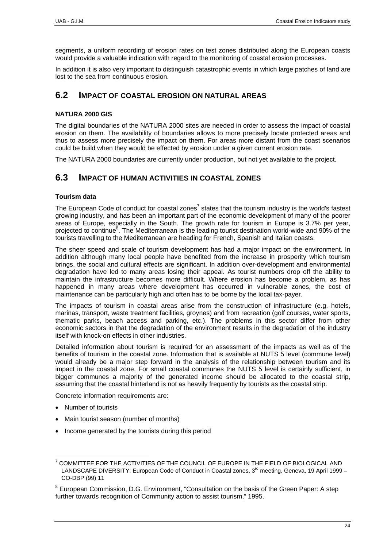<span id="page-25-0"></span>segments, a uniform recording of erosion rates on test zones distributed along the European coasts would provide a valuable indication with regard to the monitoring of coastal erosion processes.

In addition it is also very important to distinguish catastrophic events in which large patches of land are lost to the sea from continuous erosion.

# **6.2 IMPACT OF COASTAL EROSION ON NATURAL AREAS**

# **NATURA 2000 GIS**

The digital boundaries of the NATURA 2000 sites are needed in order to assess the impact of coastal erosion on them. The availability of boundaries allows to more precisely locate protected areas and thus to assess more precisely the impact on them. For areas more distant from the coast scenarios could be build when they would be effected by erosion under a given current erosion rate.

The NATURA 2000 boundaries are currently under production, but not yet available to the project.

# **6.3 IMPACT OF HUMAN ACTIVITIES IN COASTAL ZONES**

# **Tourism data**

The European Code of conduct for coastal zones<sup>[7](#page-25-1)</sup> states that the tourism industry is the world's fastest growing industry, and has been an important part of the economic development of many of the poorer areas of Europe, especially in the South. The growth rate for tourism in Europe is 3.7% per year, projected to continue<sup>[8](#page-25-2)</sup>. The Mediterranean is the leading tourist destination world-wide and 90% of the tourists travelling to the Mediterranean are heading for French, Spanish and Italian coasts.

The sheer speed and scale of tourism development has had a major impact on the environment. In addition although many local people have benefited from the increase in prosperity which tourism brings, the social and cultural effects are significant. In addition over-development and environmental degradation have led to many areas losing their appeal. As tourist numbers drop off the ability to maintain the infrastructure becomes more difficult. Where erosion has become a problem, as has happened in many areas where development has occurred in vulnerable zones, the cost of maintenance can be particularly high and often has to be borne by the local tax-payer.

The impacts of tourism in coastal areas arise from the construction of infrastructure (e.g. hotels, marinas, transport, waste treatment facilities, groynes) and from recreation (golf courses, water sports, thematic parks, beach access and parking, etc.). The problems in this sector differ from other economic sectors in that the degradation of the environment results in the degradation of the industry itself with knock-on effects in other industries.

Detailed information about tourism is required for an assessment of the impacts as well as of the benefits of tourism in the coastal zone. Information that is available at NUTS 5 level (commune level) would already be a major step forward in the analysis of the relationship between tourism and its impact in the coastal zone. For small coastal communes the NUTS 5 level is certainly sufficient, in bigger communes a majority of the generated income should be allocated to the coastal strip, assuming that the coastal hinterland is not as heavily frequently by tourists as the coastal strip.

Concrete information requirements are:

- Number of tourists
- Main tourist season (number of months)
- Income generated by the tourists during this period

<span id="page-25-1"></span> <sup>7</sup> COMMITTEE FOR THE ACTIVITIES OF THE COUNCIL OF EUROPE IN THE FIELD OF BIOLOGICAL AND LANDSCAPE DIVERSITY: European Code of Conduct in Coastal zones, 3<sup>rd</sup> meeting, Geneva, 19 April 1999 -CO-DBP (99) 11

<span id="page-25-2"></span><sup>&</sup>lt;sup>8</sup> European Commission, D.G. Environment, "Consultation on the basis of the Green Paper: A step further towards recognition of Community action to assist tourism," 1995.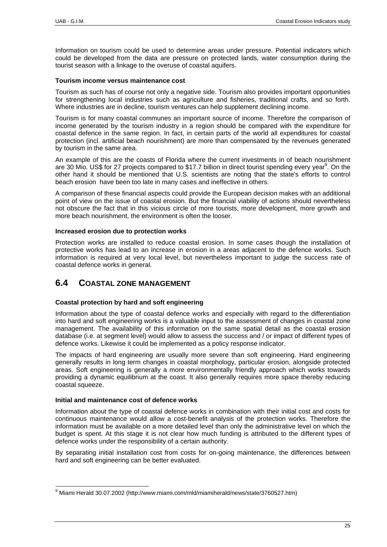<span id="page-26-0"></span>Information on tourism could be used to determine areas under pressure. Potential indicators which could be developed from the data are pressure on protected lands, water consumption during the tourist season with a linkage to the overuse of coastal aquifers.

#### **Tourism income versus maintenance cost**

Tourism as such has of course not only a negative side. Tourism also provides important opportunities for strengthening local industries such as agriculture and fisheries, traditional crafts, and so forth. Where industries are in decline, tourism ventures can help supplement declining income.

Tourism is for many coastal communes an important source of income. Therefore the comparison of income generated by the tourism industry in a region should be compared with the expenditure for coastal defence in the same region. In fact, in certain parts of the world all expenditures for coastal protection (incl. artificial beach nourishment) are more than compensated by the revenues generated by tourism in the same area.

An example of this are the coasts of Florida where the current investments in of beach nourishment are 30 Mio. US\$ for 27 projects compared to \$17.7 billion in direct tourist spending every year<sup>[9](#page-26-1)</sup>. On the other hand it should be mentioned that U.S. scientists are noting that the state's efforts to control beach erosion have been too late in many cases and ineffective in others.

A comparison of these financial aspects could provide the European decision makes with an additional point of view on the issue of coastal erosion. But the financial viability of actions should nevertheless not obscure the fact that in this vicious circle of more tourists, more development, more growth and more beach nourishment, the environment is often the looser.

#### **Increased erosion due to protection works**

Protection works are installed to reduce coastal erosion. In some cases though the installation of protective works has lead to an increase in erosion in a areas adjacent to the defence works. Such information is required at very local level, but nevertheless important to judge the success rate of coastal defence works in general.

# **6.4 COASTAL ZONE MANAGEMENT**

# **Coastal protection by hard and soft engineering**

Information about the type of coastal defence works and especially with regard to the differentiation into hard and soft engineering works is a valuable input to the assessment of changes in coastal zone management. The availability of this information on the same spatial detail as the coastal erosion database (i.e. at segment level) would allow to assess the success and / or impact of different types of defence works. Likewise it could be implemented as a policy response indicator.

The impacts of hard engineering are usually more severe than soft engineering. Hard engineering generally results in long term changes in coastal morphology, particular erosion, alongside protected areas. Soft engineering is generally a more environmentally friendly approach which works towards providing a dynamic equilibrium at the coast. It also generally requires more space thereby reducing coastal squeeze.

#### **Initial and maintenance cost of defence works**

Information about the type of coastal defence works in combination with their initial cost and costs for continuous maintenance would allow a cost-benefit analysis of the protection works. Therefore the information must be available on a more detailed level than only the administrative level on which the budget is spent. At this stage it is not clear how much funding is attributed to the different types of defence works under the responsibility of a certain authority.

By separating initial installation cost from costs for on-going maintenance, the differences between hard and soft engineering can be better evaluated.

<span id="page-26-1"></span> <sup>9</sup> Miami Herald 30.07.2002 (http://www.miami.com/mld/miamiherald/news/state/3760527.htm)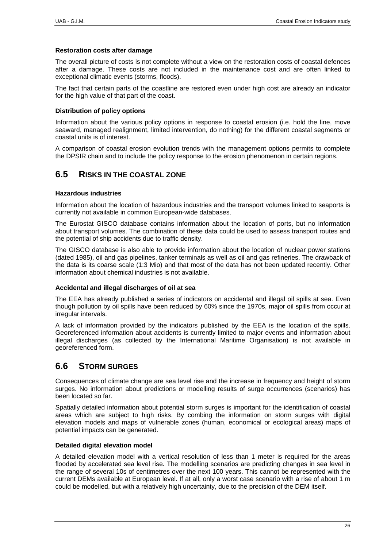## <span id="page-27-0"></span>**Restoration costs after damage**

The overall picture of costs is not complete without a view on the restoration costs of coastal defences after a damage. These costs are not included in the maintenance cost and are often linked to exceptional climatic events (storms, floods).

The fact that certain parts of the coastline are restored even under high cost are already an indicator for the high value of that part of the coast.

#### **Distribution of policy options**

Information about the various policy options in response to coastal erosion (i.e. hold the line, move seaward, managed realignment, limited intervention, do nothing) for the different coastal segments or coastal units is of interest.

A comparison of coastal erosion evolution trends with the management options permits to complete the DPSIR chain and to include the policy response to the erosion phenomenon in certain regions.

# **6.5 RISKS IN THE COASTAL ZONE**

#### **Hazardous industries**

Information about the location of hazardous industries and the transport volumes linked to seaports is currently not available in common European-wide databases.

The Eurostat GISCO database contains information about the location of ports, but no information about transport volumes. The combination of these data could be used to assess transport routes and the potential of ship accidents due to traffic density.

The GISCO database is also able to provide information about the location of nuclear power stations (dated 1985), oil and gas pipelines, tanker terminals as well as oil and gas refineries. The drawback of the data is its coarse scale (1:3 Mio) and that most of the data has not been updated recently. Other information about chemical industries is not available.

#### **Accidental and illegal discharges of oil at sea**

The EEA has already published a series of indicators on accidental and illegal oil spills at sea. Even though pollution by oil spills have been reduced by 60% since the 1970s, major oil spills from occur at irregular intervals.

A lack of information provided by the indicators published by the EEA is the location of the spills. Georeferenced information about accidents is currently limited to major events and information about illegal discharges (as collected by the International Maritime Organisation) is not available in georeferenced form.

# **6.6 STORM SURGES**

Consequences of climate change are sea level rise and the increase in frequency and height of storm surges. No information about predictions or modelling results of surge occurrences (scenarios) has been located so far.

Spatially detailed information about potential storm surges is important for the identification of coastal areas which are subject to high risks. By combing the information on storm surges with digital elevation models and maps of vulnerable zones (human, economical or ecological areas) maps of potential impacts can be generated.

#### **Detailed digital elevation model**

A detailed elevation model with a vertical resolution of less than 1 meter is required for the areas flooded by accelerated sea level rise. The modelling scenarios are predicting changes in sea level in the range of several 10s of centimetres over the next 100 years. This cannot be represented with the current DEMs available at European level. If at all, only a worst case scenario with a rise of about 1 m could be modelled, but with a relatively high uncertainty, due to the precision of the DEM itself.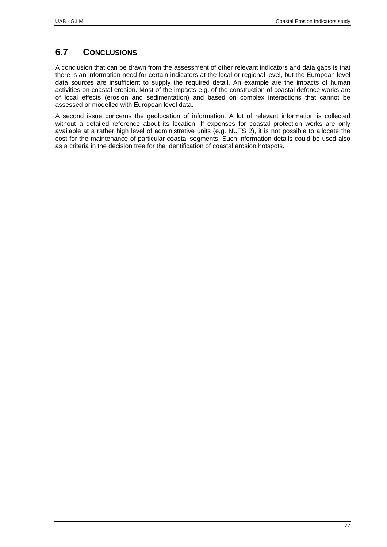# <span id="page-28-0"></span>**6.7 CONCLUSIONS**

A conclusion that can be drawn from the assessment of other relevant indicators and data gaps is that there is an information need for certain indicators at the local or regional level, but the European level data sources are insufficient to supply the required detail. An example are the impacts of human activities on coastal erosion. Most of the impacts e.g. of the construction of coastal defence works are of local effects (erosion and sedimentation) and based on complex interactions that cannot be assessed or modelled with European level data.

A second issue concerns the geolocation of information. A lot of relevant information is collected without a detailed reference about its location. If expenses for coastal protection works are only available at a rather high level of administrative units (e.g. NUTS 2), it is not possible to allocate the cost for the maintenance of particular coastal segments. Such information details could be used also as a criteria in the decision tree for the identification of coastal erosion hotspots.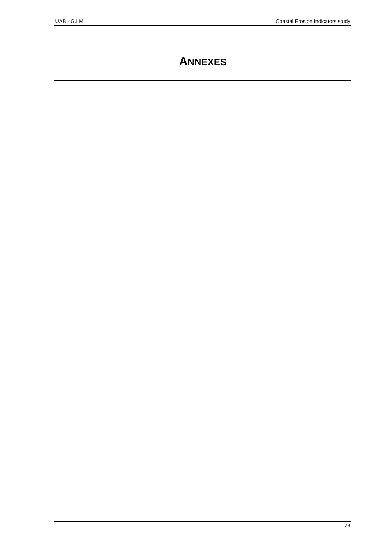# **ANNEXES**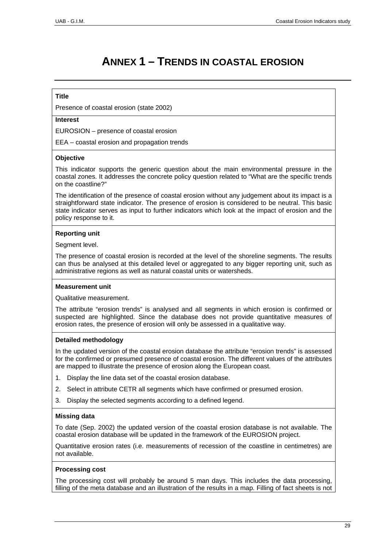# **ANNEX 1 – TRENDS IN COASTAL EROSION**

# **Title**

Presence of coastal erosion (state 2002)

# **Interest**

EUROSION – presence of coastal erosion

EEA – coastal erosion and propagation trends

#### **Objective**

This indicator supports the generic question about the main environmental pressure in the coastal zones. It addresses the concrete policy question related to "What are the specific trends on the coastline?"

The identification of the presence of coastal erosion without any judgement about its impact is a straightforward state indicator. The presence of erosion is considered to be neutral. This basic state indicator serves as input to further indicators which look at the impact of erosion and the policy response to it.

#### **Reporting unit**

Seament level.

The presence of coastal erosion is recorded at the level of the shoreline segments. The results can thus be analysed at this detailed level or aggregated to any bigger reporting unit, such as administrative regions as well as natural coastal units or watersheds.

#### **Measurement unit**

Qualitative measurement.

The attribute "erosion trends" is analysed and all segments in which erosion is confirmed or suspected are highlighted. Since the database does not provide quantitative measures of erosion rates, the presence of erosion will only be assessed in a qualitative way.

# **Detailed methodology**

In the updated version of the coastal erosion database the attribute "erosion trends" is assessed for the confirmed or presumed presence of coastal erosion. The different values of the attributes are mapped to illustrate the presence of erosion along the European coast.

- 1. Display the line data set of the coastal erosion database.
- 2. Select in attribute CETR all segments which have confirmed or presumed erosion.
- 3. Display the selected segments according to a defined legend.

# **Missing data**

To date (Sep. 2002) the updated version of the coastal erosion database is not available. The coastal erosion database will be updated in the framework of the EUROSION project.

Quantitative erosion rates (i.e. measurements of recession of the coastline in centimetres) are not available.

#### **Processing cost**

The processing cost will probably be around 5 man days. This includes the data processing, filling of the meta database and an illustration of the results in a map. Filling of fact sheets is not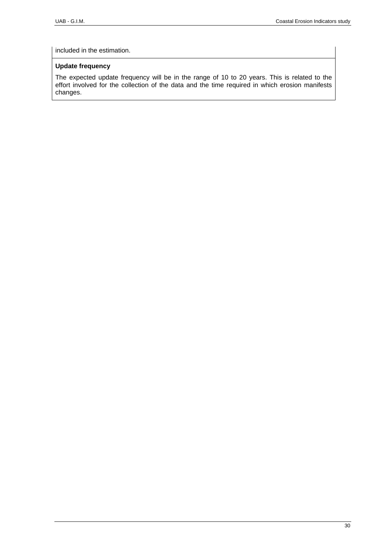included in the estimation.

# **Update frequency**

The expected update frequency will be in the range of 10 to 20 years. This is related to the effort involved for the collection of the data and the time required in which erosion manifests changes.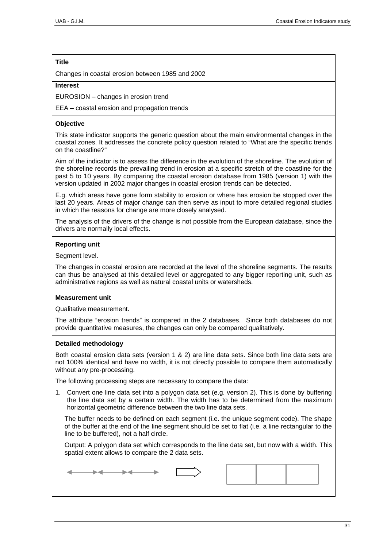Changes in coastal erosion between 1985 and 2002

#### **Interest**

EUROSION – changes in erosion trend

EEA – coastal erosion and propagation trends

# **Objective**

This state indicator supports the generic question about the main environmental changes in the coastal zones. It addresses the concrete policy question related to "What are the specific trends on the coastline?"

Aim of the indicator is to assess the difference in the evolution of the shoreline. The evolution of the shoreline records the prevailing trend in erosion at a specific stretch of the coastline for the past 5 to 10 years. By comparing the coastal erosion database from 1985 (version 1) with the version updated in 2002 major changes in coastal erosion trends can be detected.

E.g. which areas have gone form stability to erosion or where has erosion be stopped over the last 20 years. Areas of major change can then serve as input to more detailed regional studies in which the reasons for change are more closely analysed.

The analysis of the drivers of the change is not possible from the European database, since the drivers are normally local effects.

# **Reporting unit**

Segment level.

The changes in coastal erosion are recorded at the level of the shoreline segments. The results can thus be analysed at this detailed level or aggregated to any bigger reporting unit, such as administrative regions as well as natural coastal units or watersheds.

# **Measurement unit**

Qualitative measurement.

The attribute "erosion trends" is compared in the 2 databases. Since both databases do not provide quantitative measures, the changes can only be compared qualitatively.

# **Detailed methodology**

Both coastal erosion data sets (version 1 & 2) are line data sets. Since both line data sets are not 100% identical and have no width, it is not directly possible to compare them automatically without any pre-processing.

The following processing steps are necessary to compare the data:

1. Convert one line data set into a polygon data set (e.g. version 2). This is done by buffering the line data set by a certain width. The width has to be determined from the maximum horizontal geometric difference between the two line data sets.

The buffer needs to be defined on each segment (i.e. the unique segment code). The shape of the buffer at the end of the line segment should be set to flat (i.e. a line rectangular to the line to be buffered), not a half circle.

Output: A polygon data set which corresponds to the line data set, but now with a width. This spatial extent allows to compare the 2 data sets.

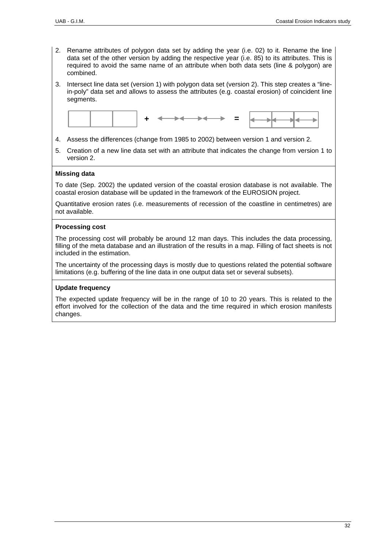- 2. Rename attributes of polygon data set by adding the year (i.e. 02) to it. Rename the line data set of the other version by adding the respective year (i.e. 85) to its attributes. This is required to avoid the same name of an attribute when both data sets (line & polygon) are combined.
- 3. Intersect line data set (version 1) with polygon data set (version 2). This step creates a "linein-poly" data set and allows to assess the attributes (e.g. coastal erosion) of coincident line segments.



- 4. Assess the differences (change from 1985 to 2002) between version 1 and version 2.
- 5. Creation of a new line data set with an attribute that indicates the change from version 1 to version 2.

# **Missing data**

To date (Sep. 2002) the updated version of the coastal erosion database is not available. The coastal erosion database will be updated in the framework of the EUROSION project.

Quantitative erosion rates (i.e. measurements of recession of the coastline in centimetres) are not available.

# **Processing cost**

The processing cost will probably be around 12 man days. This includes the data processing, filling of the meta database and an illustration of the results in a map. Filling of fact sheets is not included in the estimation.

The uncertainty of the processing days is mostly due to questions related the potential software limitations (e.g. buffering of the line data in one output data set or several subsets).

# **Update frequency**

The expected update frequency will be in the range of 10 to 20 years. This is related to the effort involved for the collection of the data and the time required in which erosion manifests changes.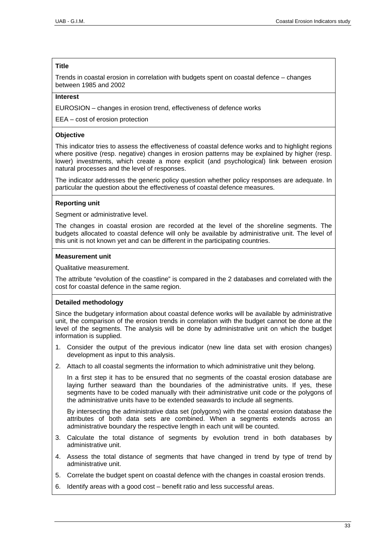Trends in coastal erosion in correlation with budgets spent on coastal defence – changes between 1985 and 2002

# **Interest**

EUROSION – changes in erosion trend, effectiveness of defence works

EEA – cost of erosion protection

# **Objective**

This indicator tries to assess the effectiveness of coastal defence works and to highlight regions where positive (resp. negative) changes in erosion patterns may be explained by higher (resp. lower) investments, which create a more explicit (and psychological) link between erosion natural processes and the level of responses.

The indicator addresses the generic policy question whether policy responses are adequate. In particular the question about the effectiveness of coastal defence measures.

# **Reporting unit**

Segment or administrative level.

The changes in coastal erosion are recorded at the level of the shoreline segments. The budgets allocated to coastal defence will only be available by administrative unit. The level of this unit is not known yet and can be different in the participating countries.

#### **Measurement unit**

Qualitative measurement.

The attribute "evolution of the coastline" is compared in the 2 databases and correlated with the cost for coastal defence in the same region.

# **Detailed methodology**

Since the budgetary information about coastal defence works will be available by administrative unit, the comparison of the erosion trends in correlation with the budget cannot be done at the level of the segments. The analysis will be done by administrative unit on which the budget information is supplied.

- 1. Consider the output of the previous indicator (new line data set with erosion changes) development as input to this analysis.
- 2. Attach to all coastal segments the information to which administrative unit they belong.

In a first step it has to be ensured that no segments of the coastal erosion database are laying further seaward than the boundaries of the administrative units. If yes, these segments have to be coded manually with their administrative unit code or the polygons of the administrative units have to be extended seawards to include all segments.

By intersecting the administrative data set (polygons) with the coastal erosion database the attributes of both data sets are combined. When a segments extends across an administrative boundary the respective length in each unit will be counted.

- 3. Calculate the total distance of segments by evolution trend in both databases by administrative unit.
- 4. Assess the total distance of segments that have changed in trend by type of trend by administrative unit.
- 5. Correlate the budget spent on coastal defence with the changes in coastal erosion trends.
- 6. Identify areas with a good cost benefit ratio and less successful areas.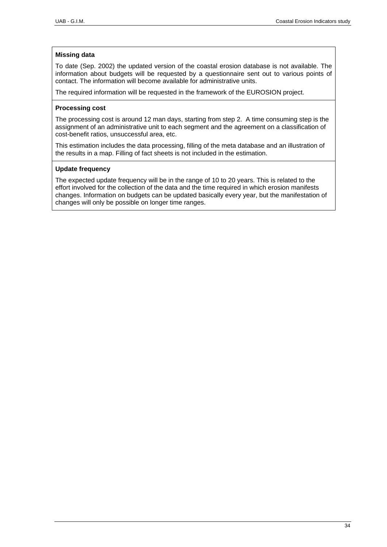# **Missing data**

To date (Sep. 2002) the updated version of the coastal erosion database is not available. The information about budgets will be requested by a questionnaire sent out to various points of contact. The information will become available for administrative units.

The required information will be requested in the framework of the EUROSION project.

# **Processing cost**

The processing cost is around 12 man days, starting from step 2. A time consuming step is the assignment of an administrative unit to each segment and the agreement on a classification of cost-benefit ratios, unsuccessful area, etc.

This estimation includes the data processing, filling of the meta database and an illustration of the results in a map. Filling of fact sheets is not included in the estimation.

# **Update frequency**

The expected update frequency will be in the range of 10 to 20 years. This is related to the effort involved for the collection of the data and the time required in which erosion manifests changes. Information on budgets can be updated basically every year, but the manifestation of changes will only be possible on longer time ranges.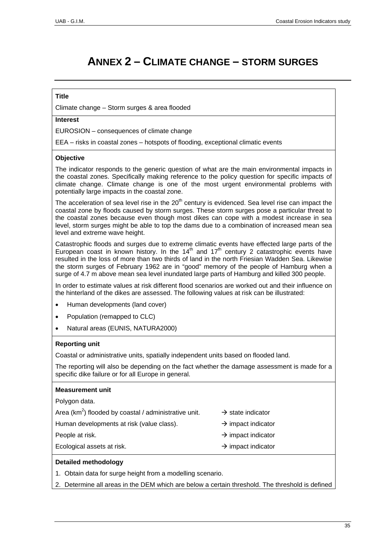# **ANNEX 2 – CLIMATE CHANGE – STORM SURGES**

# **Title**

Climate change – Storm surges & area flooded

# **Interest**

EUROSION – consequences of climate change

EEA – risks in coastal zones – hotspots of flooding, exceptional climatic events

#### **Objective**

The indicator responds to the generic question of what are the main environmental impacts in the coastal zones. Specifically making reference to the policy question for specific impacts of climate change. Climate change is one of the most urgent environmental problems with potentially large impacts in the coastal zone.

The acceleration of sea level rise in the  $20<sup>th</sup>$  century is evidenced. Sea level rise can impact the coastal zone by floods caused by storm surges. These storm surges pose a particular threat to the coastal zones because even though most dikes can cope with a modest increase in sea level, storm surges might be able to top the dams due to a combination of increased mean sea level and extreme wave height.

Catastrophic floods and surges due to extreme climatic events have effected large parts of the European coast in known history. In the  $14<sup>th</sup>$  and  $17<sup>th</sup>$  century 2 catastrophic events have resulted in the loss of more than two thirds of land in the north Friesian Wadden Sea. Likewise the storm surges of February 1962 are in "good" memory of the people of Hamburg when a surge of 4.7 m above mean sea level inundated large parts of Hamburg and killed 300 people.

In order to estimate values at risk different flood scenarios are worked out and their influence on the hinterland of the dikes are assessed. The following values at risk can be illustrated:

- Human developments (land cover)
- Population (remapped to CLC)
- Natural areas (EUNIS, NATURA2000)

#### **Reporting unit**

Coastal or administrative units, spatially independent units based on flooded land.

The reporting will also be depending on the fact whether the damage assessment is made for a specific dike failure or for all Europe in general.

#### **Measurement unit**

Polygon data.

Area (km<sup>2</sup>) flooded by coastal / administrative unit.  $\rightarrow$  state indicator

Human developments at risk (value class).  $\rightarrow$  impact indicator

- 
- 
- People at risk.  $\rightarrow$  impact indicator
- Ecological assets at risk.  $\rightarrow$  impact indicator
- -

# **Detailed methodology**

1. Obtain data for surge height from a modelling scenario.

2. Determine all areas in the DEM which are below a certain threshold. The threshold is defined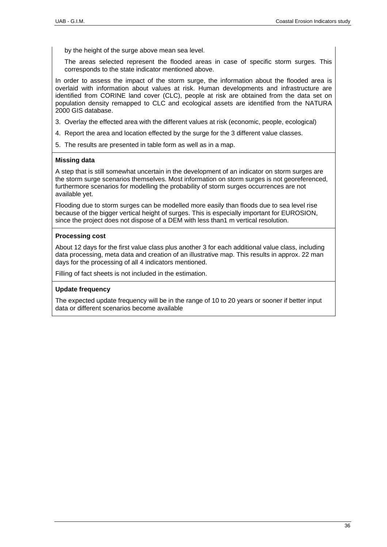by the height of the surge above mean sea level.

The areas selected represent the flooded areas in case of specific storm surges. This corresponds to the state indicator mentioned above.

In order to assess the impact of the storm surge, the information about the flooded area is overlaid with information about values at risk. Human developments and infrastructure are identified from CORINE land cover (CLC), people at risk are obtained from the data set on population density remapped to CLC and ecological assets are identified from the NATURA 2000 GIS database.

- 3. Overlay the effected area with the different values at risk (economic, people, ecological)
- 4. Report the area and location effected by the surge for the 3 different value classes.
- 5. The results are presented in table form as well as in a map.

#### **Missing data**

A step that is still somewhat uncertain in the development of an indicator on storm surges are the storm surge scenarios themselves. Most information on storm surges is not georeferenced, furthermore scenarios for modelling the probability of storm surges occurrences are not available yet.

Flooding due to storm surges can be modelled more easily than floods due to sea level rise because of the bigger vertical height of surges. This is especially important for EUROSION, since the project does not dispose of a DEM with less than1 m vertical resolution.

#### **Processing cost**

About 12 days for the first value class plus another 3 for each additional value class, including data processing, meta data and creation of an illustrative map. This results in approx. 22 man days for the processing of all 4 indicators mentioned.

Filling of fact sheets is not included in the estimation.

#### **Update frequency**

The expected update frequency will be in the range of 10 to 20 years or sooner if better input data or different scenarios become available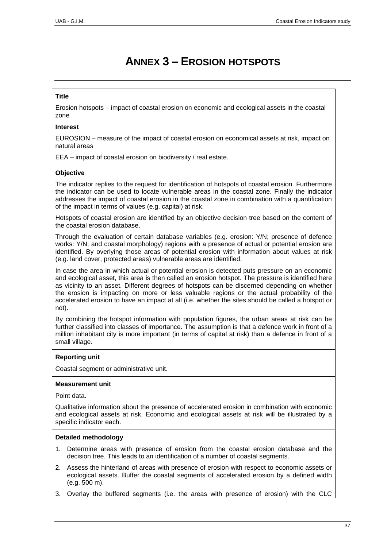# **ANNEX 3 – EROSION HOTSPOTS**

# **Title**

Erosion hotspots – impact of coastal erosion on economic and ecological assets in the coastal zone

#### **Interest**

EUROSION – measure of the impact of coastal erosion on economical assets at risk, impact on natural areas

EEA – impact of coastal erosion on biodiversity / real estate.

# **Objective**

The indicator replies to the request for identification of hotspots of coastal erosion. Furthermore the indicator can be used to locate vulnerable areas in the coastal zone. Finally the indicator addresses the impact of coastal erosion in the coastal zone in combination with a quantification of the impact in terms of values (e.g. capital) at risk.

Hotspots of coastal erosion are identified by an objective decision tree based on the content of the coastal erosion database.

Through the evaluation of certain database variables (e.g. erosion: Y/N; presence of defence works: Y/N; and coastal morphology) regions with a presence of actual or potential erosion are identified. By overlying those areas of potential erosion with information about values at risk (e.g. land cover, protected areas) vulnerable areas are identified.

In case the area in which actual or potential erosion is detected puts pressure on an economic and ecological asset, this area is then called an erosion hotspot. The pressure is identified here as vicinity to an asset. Different degrees of hotspots can be discerned depending on whether the erosion is impacting on more or less valuable regions or the actual probability of the accelerated erosion to have an impact at all (i.e. whether the sites should be called a hotspot or not).

By combining the hotspot information with population figures, the urban areas at risk can be further classified into classes of importance. The assumption is that a defence work in front of a million inhabitant city is more important (in terms of capital at risk) than a defence in front of a small village.

# **Reporting unit**

Coastal segment or administrative unit.

# **Measurement unit**

Point data.

Qualitative information about the presence of accelerated erosion in combination with economic and ecological assets at risk. Economic and ecological assets at risk will be illustrated by a specific indicator each.

#### **Detailed methodology**

- 1. Determine areas with presence of erosion from the coastal erosion database and the decision tree. This leads to an identification of a number of coastal segments.
- 2. Assess the hinterland of areas with presence of erosion with respect to economic assets or ecological assets. Buffer the coastal segments of accelerated erosion by a defined width (e.g. 500 m).
- 3. Overlay the buffered segments (i.e. the areas with presence of erosion) with the CLC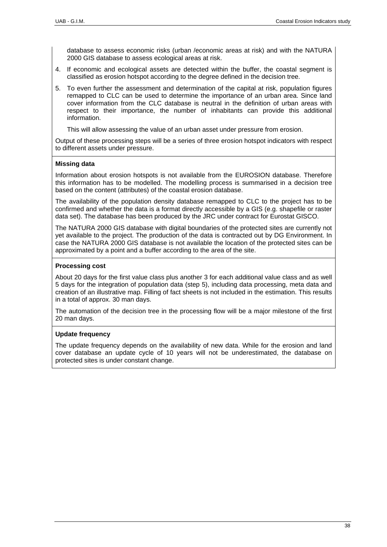database to assess economic risks (urban /economic areas at risk) and with the NATURA 2000 GIS database to assess ecological areas at risk.

- 4. If economic and ecological assets are detected within the buffer, the coastal segment is classified as erosion hotspot according to the degree defined in the decision tree.
- 5. To even further the assessment and determination of the capital at risk, population figures remapped to CLC can be used to determine the importance of an urban area. Since land cover information from the CLC database is neutral in the definition of urban areas with respect to their importance, the number of inhabitants can provide this additional information.

This will allow assessing the value of an urban asset under pressure from erosion.

Output of these processing steps will be a series of three erosion hotspot indicators with respect to different assets under pressure.

#### **Missing data**

Information about erosion hotspots is not available from the EUROSION database. Therefore this information has to be modelled. The modelling process is summarised in a decision tree based on the content (attributes) of the coastal erosion database.

The availability of the population density database remapped to CLC to the project has to be confirmed and whether the data is a format directly accessible by a GIS (e.g. shapefile or raster data set). The database has been produced by the JRC under contract for Eurostat GISCO.

The NATURA 2000 GIS database with digital boundaries of the protected sites are currently not yet available to the project. The production of the data is contracted out by DG Environment. In case the NATURA 2000 GIS database is not available the location of the protected sites can be approximated by a point and a buffer according to the area of the site.

#### **Processing cost**

About 20 days for the first value class plus another 3 for each additional value class and as well 5 days for the integration of population data (step 5), including data processing, meta data and creation of an illustrative map. Filling of fact sheets is not included in the estimation. This results in a total of approx. 30 man days.

The automation of the decision tree in the processing flow will be a major milestone of the first 20 man days.

# **Update frequency**

The update frequency depends on the availability of new data. While for the erosion and land cover database an update cycle of 10 years will not be underestimated, the database on protected sites is under constant change.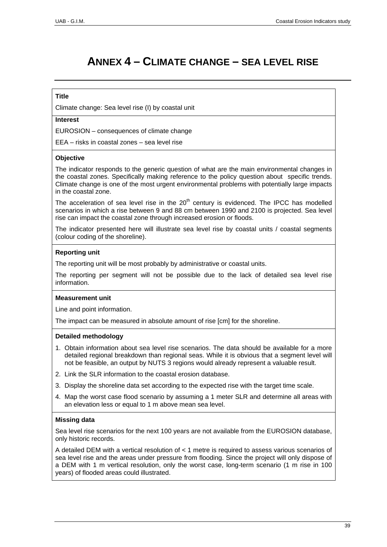# **ANNEX 4 – CLIMATE CHANGE – SEA LEVEL RISE**

# **Title**

Climate change: Sea level rise (I) by coastal unit

# **Interest**

EUROSION – consequences of climate change

EEA – risks in coastal zones – sea level rise

#### **Objective**

The indicator responds to the generic question of what are the main environmental changes in the coastal zones. Specifically making reference to the policy question about specific trends. Climate change is one of the most urgent environmental problems with potentially large impacts in the coastal zone.

The acceleration of sea level rise in the  $20<sup>th</sup>$  century is evidenced. The IPCC has modelled scenarios in which a rise between 9 and 88 cm between 1990 and 2100 is projected. Sea level rise can impact the coastal zone through increased erosion or floods.

The indicator presented here will illustrate sea level rise by coastal units / coastal segments (colour coding of the shoreline).

#### **Reporting unit**

The reporting unit will be most probably by administrative or coastal units.

The reporting per segment will not be possible due to the lack of detailed sea level rise information.

# **Measurement unit**

Line and point information.

The impact can be measured in absolute amount of rise [cm] for the shoreline.

#### **Detailed methodology**

- 1. Obtain information about sea level rise scenarios. The data should be available for a more detailed regional breakdown than regional seas. While it is obvious that a segment level will not be feasible, an output by NUTS 3 regions would already represent a valuable result.
- 2. Link the SLR information to the coastal erosion database.
- 3. Display the shoreline data set according to the expected rise with the target time scale.
- 4. Map the worst case flood scenario by assuming a 1 meter SLR and determine all areas with an elevation less or equal to 1 m above mean sea level.

# **Missing data**

Sea level rise scenarios for the next 100 years are not available from the EUROSION database, only historic records.

A detailed DEM with a vertical resolution of < 1 metre is required to assess various scenarios of sea level rise and the areas under pressure from flooding. Since the project will only dispose of a DEM with 1 m vertical resolution, only the worst case, long-term scenario (1 m rise in 100 years) of flooded areas could illustrated.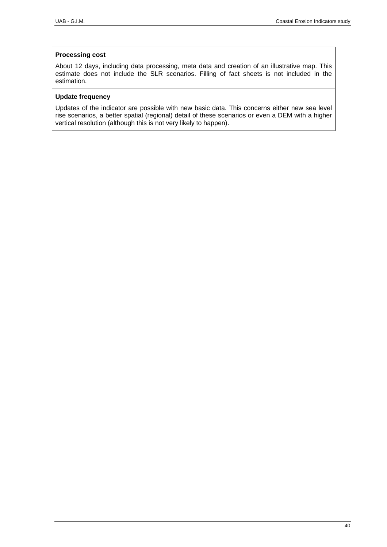# **Processing cost**

About 12 days, including data processing, meta data and creation of an illustrative map. This estimate does not include the SLR scenarios. Filling of fact sheets is not included in the estimation.

# **Update frequency**

Updates of the indicator are possible with new basic data. This concerns either new sea level rise scenarios, a better spatial (regional) detail of these scenarios or even a DEM with a higher vertical resolution (although this is not very likely to happen).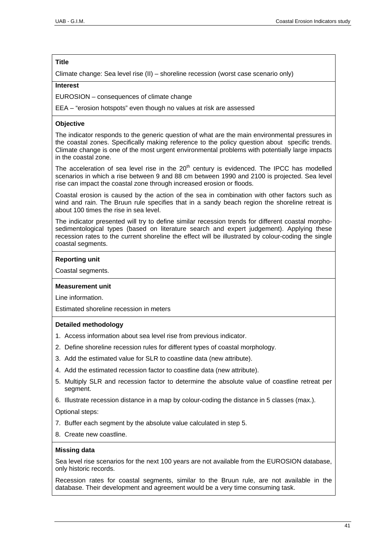Climate change: Sea level rise (II) – shoreline recession (worst case scenario only)

# **Interest**

EUROSION – consequences of climate change

EEA – "erosion hotspots" even though no values at risk are assessed

# **Objective**

The indicator responds to the generic question of what are the main environmental pressures in the coastal zones. Specifically making reference to the policy question about specific trends. Climate change is one of the most urgent environmental problems with potentially large impacts in the coastal zone.

The acceleration of sea level rise in the  $20<sup>th</sup>$  century is evidenced. The IPCC has modelled scenarios in which a rise between 9 and 88 cm between 1990 and 2100 is projected. Sea level rise can impact the coastal zone through increased erosion or floods.

Coastal erosion is caused by the action of the sea in combination with other factors such as wind and rain. The Bruun rule specifies that in a sandy beach region the shoreline retreat is about 100 times the rise in sea level.

The indicator presented will try to define similar recession trends for different coastal morphosedimentological types (based on literature search and expert judgement). Applying these recession rates to the current shoreline the effect will be illustrated by colour-coding the single coastal segments.

# **Reporting unit**

Coastal segments.

# **Measurement unit**

Line information.

Estimated shoreline recession in meters

# **Detailed methodology**

- 1. Access information about sea level rise from previous indicator.
- 2. Define shoreline recession rules for different types of coastal morphology.
- 3. Add the estimated value for SLR to coastline data (new attribute).
- 4. Add the estimated recession factor to coastline data (new attribute).
- 5. Multiply SLR and recession factor to determine the absolute value of coastline retreat per segment.
- 6. Illustrate recession distance in a map by colour-coding the distance in 5 classes (max.).

Optional steps:

- 7. Buffer each segment by the absolute value calculated in step 5.
- 8. Create new coastline.

# **Missing data**

Sea level rise scenarios for the next 100 years are not available from the EUROSION database, only historic records.

Recession rates for coastal segments, similar to the Bruun rule, are not available in the database. Their development and agreement would be a very time consuming task.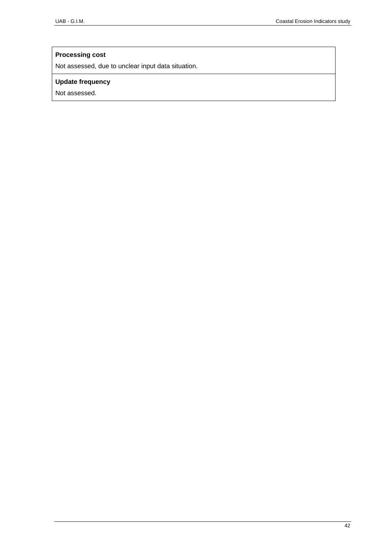# **Processing cost**

Not assessed, due to unclear input data situation.

# **Update frequency**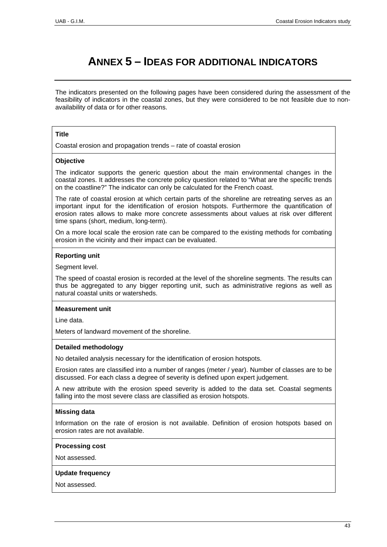# **ANNEX 5 – IDEAS FOR ADDITIONAL INDICATORS**

The indicators presented on the following pages have been considered during the assessment of the feasibility of indicators in the coastal zones, but they were considered to be not feasible due to nonavailability of data or for other reasons.

#### **Title**

Coastal erosion and propagation trends – rate of coastal erosion

#### **Objective**

The indicator supports the generic question about the main environmental changes in the coastal zones. It addresses the concrete policy question related to "What are the specific trends on the coastline?" The indicator can only be calculated for the French coast.

The rate of coastal erosion at which certain parts of the shoreline are retreating serves as an important input for the identification of erosion hotspots. Furthermore the quantification of erosion rates allows to make more concrete assessments about values at risk over different time spans (short, medium, long-term).

On a more local scale the erosion rate can be compared to the existing methods for combating erosion in the vicinity and their impact can be evaluated.

#### **Reporting unit**

Segment level.

The speed of coastal erosion is recorded at the level of the shoreline segments. The results can thus be aggregated to any bigger reporting unit, such as administrative regions as well as natural coastal units or watersheds.

#### **Measurement unit**

Line data.

Meters of landward movement of the shoreline.

#### **Detailed methodology**

No detailed analysis necessary for the identification of erosion hotspots.

Erosion rates are classified into a number of ranges (meter / year). Number of classes are to be discussed. For each class a degree of severity is defined upon expert judgement.

A new attribute with the erosion speed severity is added to the data set. Coastal segments falling into the most severe class are classified as erosion hotspots.

#### **Missing data**

Information on the rate of erosion is not available. Definition of erosion hotspots based on erosion rates are not available.

#### **Processing cost**

Not assessed.

#### **Update frequency**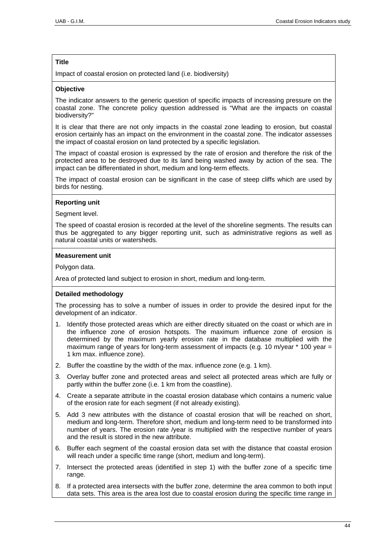Impact of coastal erosion on protected land (i.e. biodiversity)

### **Objective**

The indicator answers to the generic question of specific impacts of increasing pressure on the coastal zone. The concrete policy question addressed is "What are the impacts on coastal biodiversity?"

It is clear that there are not only impacts in the coastal zone leading to erosion, but coastal erosion certainly has an impact on the environment in the coastal zone. The indicator assesses the impact of coastal erosion on land protected by a specific legislation.

The impact of coastal erosion is expressed by the rate of erosion and therefore the risk of the protected area to be destroyed due to its land being washed away by action of the sea. The impact can be differentiated in short, medium and long-term effects.

The impact of coastal erosion can be significant in the case of steep cliffs which are used by birds for nesting.

#### **Reporting unit**

Segment level.

The speed of coastal erosion is recorded at the level of the shoreline segments. The results can thus be aggregated to any bigger reporting unit, such as administrative regions as well as natural coastal units or watersheds.

#### **Measurement unit**

Polygon data.

Area of protected land subject to erosion in short, medium and long-term.

# **Detailed methodology**

The processing has to solve a number of issues in order to provide the desired input for the development of an indicator.

- 1. Identify those protected areas which are either directly situated on the coast or which are in the influence zone of erosion hotspots. The maximum influence zone of erosion is determined by the maximum yearly erosion rate in the database multiplied with the maximum range of years for long-term assessment of impacts (e.g. 10 m/year  $*$  100 year = 1 km max. influence zone).
- 2. Buffer the coastline by the width of the max. influence zone (e.g. 1 km).
- 3. Overlay buffer zone and protected areas and select all protected areas which are fully or partly within the buffer zone (i.e. 1 km from the coastline).
- 4. Create a separate attribute in the coastal erosion database which contains a numeric value of the erosion rate for each segment (if not already existing).
- 5. Add 3 new attributes with the distance of coastal erosion that will be reached on short, medium and long-term. Therefore short, medium and long-term need to be transformed into number of years. The erosion rate /year is multiplied with the respective number of years and the result is stored in the new attribute.
- 6. Buffer each segment of the coastal erosion data set with the distance that coastal erosion will reach under a specific time range (short, medium and long-term).
- 7. Intersect the protected areas (identified in step 1) with the buffer zone of a specific time range.
- 8. If a protected area intersects with the buffer zone, determine the area common to both input data sets. This area is the area lost due to coastal erosion during the specific time range in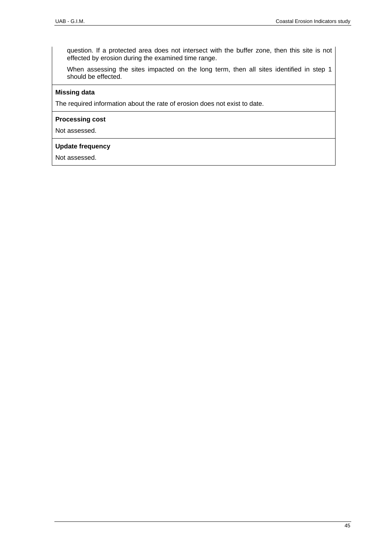question. If a protected area does not intersect with the buffer zone, then this site is not effected by erosion during the examined time range.

When assessing the sites impacted on the long term, then all sites identified in step 1 should be effected.

# **Missing data**

The required information about the rate of erosion does not exist to date.

### **Processing cost**

Not assessed.

# **Update frequency**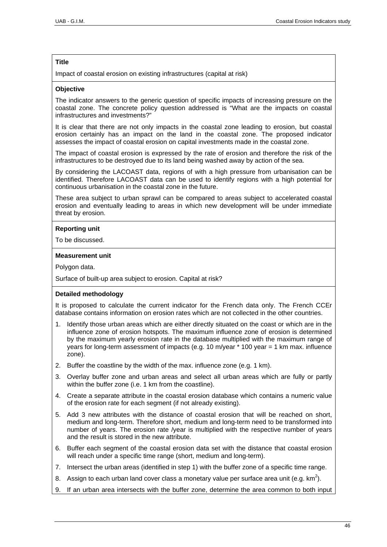Impact of coastal erosion on existing infrastructures (capital at risk)

### **Objective**

The indicator answers to the generic question of specific impacts of increasing pressure on the coastal zone. The concrete policy question addressed is "What are the impacts on coastal infrastructures and investments?"

It is clear that there are not only impacts in the coastal zone leading to erosion, but coastal erosion certainly has an impact on the land in the coastal zone. The proposed indicator assesses the impact of coastal erosion on capital investments made in the coastal zone.

The impact of coastal erosion is expressed by the rate of erosion and therefore the risk of the infrastructures to be destroyed due to its land being washed away by action of the sea.

By considering the LACOAST data, regions of with a high pressure from urbanisation can be identified. Therefore LACOAST data can be used to identify regions with a high potential for continuous urbanisation in the coastal zone in the future.

These area subject to urban sprawl can be compared to areas subject to accelerated coastal erosion and eventually leading to areas in which new development will be under immediate threat by erosion.

# **Reporting unit**

To be discussed.

#### **Measurement unit**

Polygon data.

Surface of built-up area subject to erosion. Capital at risk?

# **Detailed methodology**

It is proposed to calculate the current indicator for the French data only. The French CCEr database contains information on erosion rates which are not collected in the other countries.

- 1. Identify those urban areas which are either directly situated on the coast or which are in the influence zone of erosion hotspots. The maximum influence zone of erosion is determined by the maximum yearly erosion rate in the database multiplied with the maximum range of years for long-term assessment of impacts (e.g. 10 m/year \* 100 year = 1 km max. influence zone).
- 2. Buffer the coastline by the width of the max. influence zone (e.g. 1 km).
- 3. Overlay buffer zone and urban areas and select all urban areas which are fully or partly within the buffer zone (i.e. 1 km from the coastline).
- 4. Create a separate attribute in the coastal erosion database which contains a numeric value of the erosion rate for each segment (if not already existing).
- 5. Add 3 new attributes with the distance of coastal erosion that will be reached on short, medium and long-term. Therefore short, medium and long-term need to be transformed into number of years. The erosion rate /year is multiplied with the respective number of years and the result is stored in the new attribute.
- 6. Buffer each segment of the coastal erosion data set with the distance that coastal erosion will reach under a specific time range (short, medium and long-term).
- 7. Intersect the urban areas (identified in step 1) with the buffer zone of a specific time range.
- 8. Assign to each urban land cover class a monetary value per surface area unit (e.g.  $km^2$ ).
- 9. If an urban area intersects with the buffer zone, determine the area common to both input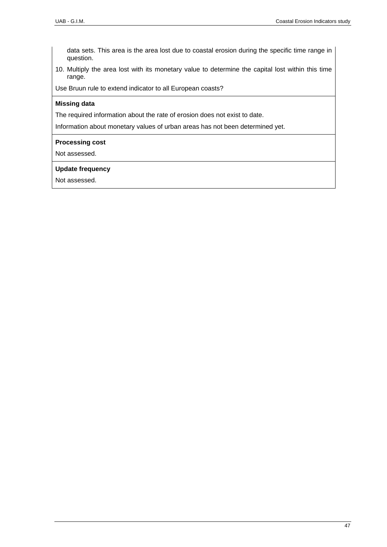data sets. This area is the area lost due to coastal erosion during the specific time range in question.

10. Multiply the area lost with its monetary value to determine the capital lost within this time range.

Use Bruun rule to extend indicator to all European coasts?

# **Missing data**

The required information about the rate of erosion does not exist to date.

Information about monetary values of urban areas has not been determined yet.

## **Processing cost**

Not assessed.

# **Update frequency**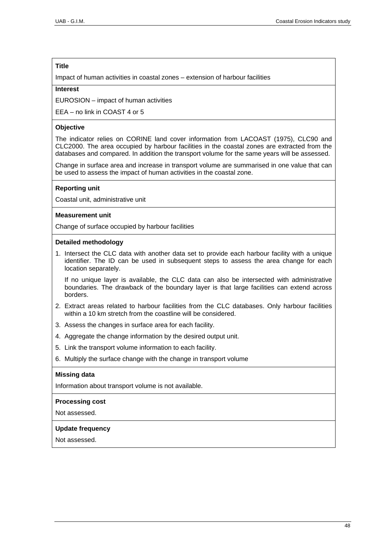Impact of human activities in coastal zones – extension of harbour facilities

#### **Interest**

EUROSION – impact of human activities

 $FEA - no link in COAST 4 or 5$ 

#### **Objective**

The indicator relies on CORINE land cover information from LACOAST (1975), CLC90 and CLC2000. The area occupied by harbour facilities in the coastal zones are extracted from the databases and compared. In addition the transport volume for the same years will be assessed.

Change in surface area and increase in transport volume are summarised in one value that can be used to assess the impact of human activities in the coastal zone.

#### **Reporting unit**

Coastal unit, administrative unit

#### **Measurement unit**

Change of surface occupied by harbour facilities

#### **Detailed methodology**

1. Intersect the CLC data with another data set to provide each harbour facility with a unique identifier. The ID can be used in subsequent steps to assess the area change for each location separately.

If no unique layer is available, the CLC data can also be intersected with administrative boundaries. The drawback of the boundary layer is that large facilities can extend across borders.

- 2. Extract areas related to harbour facilities from the CLC databases. Only harbour facilities within a 10 km stretch from the coastline will be considered.
- 3. Assess the changes in surface area for each facility.
- 4. Aggregate the change information by the desired output unit.
- 5. Link the transport volume information to each facility.
- 6. Multiply the surface change with the change in transport volume

# **Missing data**

Information about transport volume is not available.

#### **Processing cost**

Not assessed.

#### **Update frequency**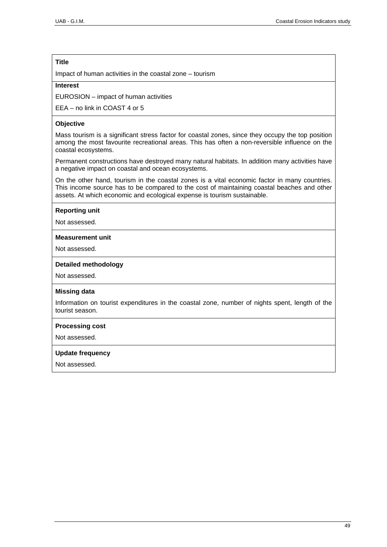Impact of human activities in the coastal zone – tourism

#### **Interest**

EUROSION – impact of human activities

EEA – no link in COAST 4 or 5

#### **Objective**

Mass tourism is a significant stress factor for coastal zones, since they occupy the top position among the most favourite recreational areas. This has often a non-reversible influence on the coastal ecosystems.

Permanent constructions have destroyed many natural habitats. In addition many activities have a negative impact on coastal and ocean ecosystems.

On the other hand, tourism in the coastal zones is a vital economic factor in many countries. This income source has to be compared to the cost of maintaining coastal beaches and other assets. At which economic and ecological expense is tourism sustainable.

#### **Reporting unit**

Not assessed.

#### **Measurement unit**

Not assessed.

#### **Detailed methodology**

Not assessed.

#### **Missing data**

Information on tourist expenditures in the coastal zone, number of nights spent, length of the tourist season.

#### **Processing cost**

Not assessed.

#### **Update frequency**